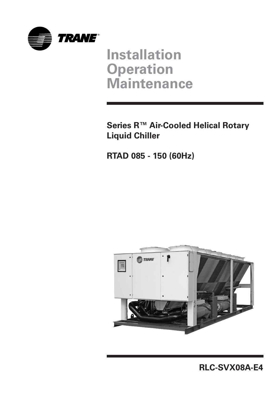

# **Installation Operation Maintenance**

**Series R™ Air-Cooled Helical Rotary Liquid Chiller**

**RTAD 085 - 150 (60Hz)**



**RLC-SVX08A-E4**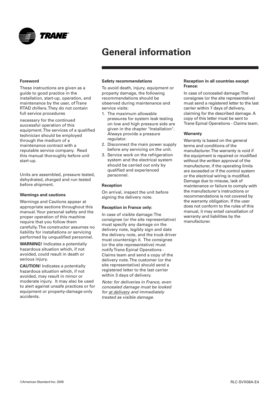<span id="page-1-0"></span>

#### **Foreword**

These instructions are given as a guide to good practice in the installation, start-up, operation, and maintenance by the user, of Trane RTAD chillers. They do not contain full service procedures

necessary for the continued successful operation of this equipment. The services of a qualified technician should be employed through the medium of a maintenance contract with a reputable service company. Read this manual thoroughly before unit start-up.

Units are assembled, pressure tested, dehydrated, charged and run tested before shipment.

#### **Warnings and cautions**

Warnings and Cautions appear at appropriate sections throughout this manual. Your personal safety and the proper operation of this machine require that you follow them carefully. The constructor assumes no liability for installations or servicing performed by unqualified personnel.

**WARNING!** Indicates a potentially hazardous situation which, if not avoided, could result in death or serious injury.

**CAUTION!** Indicates a potentially hazardous situation which, if not avoided, may result in minor or moderate injury. It may also be used to alert against unsafe practices or for equipment or property-damage-only accidents.

#### **Safety recommendations**

To avoid death, injury, equipment or property damage, the following recommendations should be observed during maintenance and service visits:

- 1. The maximum allowable pressures for system leak testing on low and high pressure side are given in the chapter "Installation". Always provide a pressure regulator.
- 2. Disconnect the main power supply before any servicing on the unit.
- 3. Service work on the refrigeration system and the electrical system should be carried out only by qualified and experienced personnel.

#### **Reception**

On arrival, inspect the unit before signing the delivery note.

#### **Reception in France only:**

In case of visible damage: The consignee (or the site representative) must specify any damage on the delivery note, legibly sign and date the delivery note, and the truck driver must countersign it. The consignee (or the site representative) must notify Trane Epinal Operations - Claims team and send a copy of the delivery note. The customer (or the site representative) should send a registered letter to the last carrier within 3 days of delivery.

Note: for deliveries in France, even concealed damage must be looked for at delivery and immediately treated as visible damage.

#### **Reception in all countries except France:**

In case of concealed damage: The consignee (or the site representative) must send a registered letter to the last carrier within 7 days of delivery, claiming for the described damage. A copy of this letter must be sent to Trane Epinal Operations - Claims team.

#### **Warranty**

Warranty is based on the general terms and conditions of the manufacturer. The warranty is void if the equipment is repaired or modified without the written approval of the manufacturer, if the operating limits are exceeded or if the control system or the electrical wiring is modified. Damage due to misuse, lack of maintenance or failure to comply with the manufacturer's instructions or recommendations is not covered by the warranty obligation. If the user does not conform to the rules of this manual, it may entail cancellation of warranty and liabilities by the manufacturer.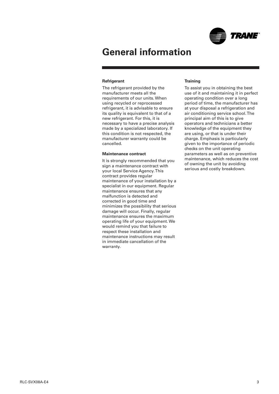

#### **Refrigerant**

The refrigerant provided by the manufacturer meets all the requirements of our units. When using recycled or reprocessed refrigerant, it is advisable to ensure its quality is equivalent to that of a new refrigerant. For this, it is necessary to have a precise analysis made by a specialized laboratory. If this condition is not respected, the manufacturer warranty could be cancelled.

#### **Maintenance contract**

It is strongly recommended that you sign a maintenance contract with your local Service Agency. This contract provides regular maintenance of your installation by a specialist in our equipment. Regular maintenance ensures that any malfunction is detected and corrected in good time and minimizes the possibility that serious damage will occur. Finally, regular maintenance ensures the maximum operating life of your equipment. We would remind you that failure to respect these installation and maintenance instructions may result in immediate cancellation of the warranty.

#### **Training**

To assist you in obtaining the best use of it and maintaining it in perfect operating condition over a long period of time, the manufacturer has at your disposal a refrigeration and air conditioning service school. The principal aim of this is to give operators and technicians a better knowledge of the equipment they are using, or that is under their charge. Emphasis is particularly given to the importance of periodic checks on the unit operating parameters as well as on preventive maintenance, which reduces the cost of owning the unit by avoiding serious and costly breakdown.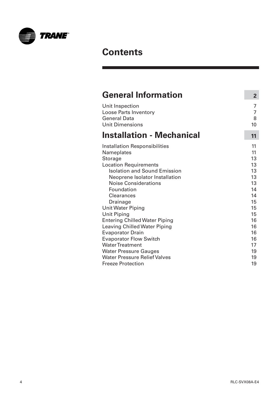

## **Contents**

| <b>General Information</b>           | $\overline{2}$ |
|--------------------------------------|----------------|
| Unit Inspection                      | 7              |
| <b>Loose Parts Inventory</b>         | 7              |
| <b>General Data</b>                  | 8              |
| <b>Unit Dimensions</b>               | 10             |
| <b>Installation - Mechanical</b>     | 11             |
| <b>Installation Responsibilities</b> | 11             |
| Nameplates                           | 11             |
| <b>Storage</b>                       | 13             |
| <b>Location Requirements</b>         | 13             |
| <b>Isolation and Sound Emission</b>  | 13             |
| Neoprene Isolator Installation       | 13             |
| <b>Noise Considerations</b>          | 13             |
| Foundation                           | 14             |
| <b>Clearances</b>                    | 14             |
| Drainage                             | 15             |
| <b>Unit Water Piping</b>             | 15             |
| <b>Unit Piping</b>                   | 15             |
| <b>Entering Chilled Water Piping</b> | 16             |
| <b>Leaving Chilled Water Piping</b>  | 16             |
| <b>Evaporator Drain</b>              | 16             |
| <b>Evaporator Flow Switch</b>        | 16             |
| <b>Water Treatment</b>               | 17             |
| <b>Water Pressure Gauges</b>         | 19             |
| <b>Water Pressure Relief Valves</b>  | 19             |
| <b>Freeze Protection</b>             | 19             |

۳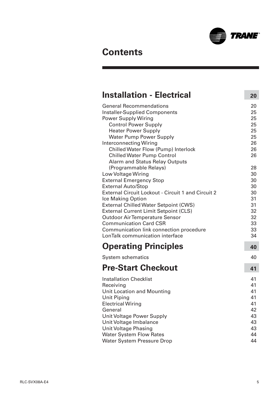

## **Contents**

| <b>Installation - Electrical</b>                                                                                                                                                                                                                                                                                                                                                                                                                                                                                                                                                                                                                                                                                                                                                                                  | 20                                                                                                                         |
|-------------------------------------------------------------------------------------------------------------------------------------------------------------------------------------------------------------------------------------------------------------------------------------------------------------------------------------------------------------------------------------------------------------------------------------------------------------------------------------------------------------------------------------------------------------------------------------------------------------------------------------------------------------------------------------------------------------------------------------------------------------------------------------------------------------------|----------------------------------------------------------------------------------------------------------------------------|
| <b>General Recommendations</b><br><b>Installer-Supplied Components</b><br><b>Power Supply Wiring</b><br><b>Control Power Supply</b><br><b>Heater Power Supply</b><br><b>Water Pump Power Supply</b><br><b>Interconnecting Wiring</b><br>Chilled Water Flow (Pump) Interlock<br><b>Chilled Water Pump Control</b><br><b>Alarm and Status Relay Outputs</b><br>(Programmable Relays)<br>Low Voltage Wiring<br><b>External Emergency Stop</b><br><b>External Auto/Stop</b><br><b>External Circuit Lockout - Circuit 1 and Circuit 2</b><br>Ice Making Option<br><b>External Chilled Water Setpoint (CWS)</b><br><b>External Current Limit Setpoint (CLS)</b><br><b>Outdoor Air Temperature Sensor</b><br><b>Communication Card CSR</b><br>Communication link connection procedure<br>LonTalk communication interface | 20<br>25<br>25<br>25<br>25<br>25<br>26<br>26<br>26<br>28<br>30<br>30<br>30<br>30<br>31<br>31<br>32<br>32<br>33<br>33<br>34 |
| <b>Operating Principles</b>                                                                                                                                                                                                                                                                                                                                                                                                                                                                                                                                                                                                                                                                                                                                                                                       | 40                                                                                                                         |
| <b>System schematics</b>                                                                                                                                                                                                                                                                                                                                                                                                                                                                                                                                                                                                                                                                                                                                                                                          | 40                                                                                                                         |
| <b>Pre-Start Checkout</b>                                                                                                                                                                                                                                                                                                                                                                                                                                                                                                                                                                                                                                                                                                                                                                                         | 41                                                                                                                         |
| <b>Installation Checklist</b><br>Receiving<br><b>Unit Location and Mounting</b><br><b>Unit Piping</b><br><b>Electrical Wiring</b><br>General<br>Unit Voltage Power Supply<br>Unit Voltage Imbalance<br><b>Unit Voltage Phasing</b><br><b>Water System Flow Rates</b><br><b>Water System Pressure Drop</b>                                                                                                                                                                                                                                                                                                                                                                                                                                                                                                         | 41<br>41<br>41<br>41<br>41<br>42<br>43<br>43<br>43<br>44<br>44                                                             |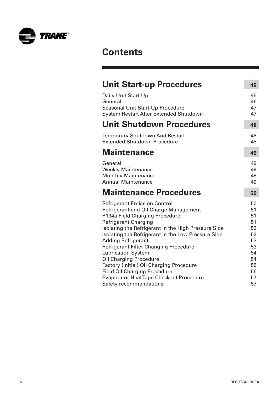

## **Contents**

| <b>Unit Start-up Procedures</b>                                                                                                                                                                                                                                                                                                                                                                                                                                                                                                     | 45                                                                         |
|-------------------------------------------------------------------------------------------------------------------------------------------------------------------------------------------------------------------------------------------------------------------------------------------------------------------------------------------------------------------------------------------------------------------------------------------------------------------------------------------------------------------------------------|----------------------------------------------------------------------------|
| Daily Unit Start-Up<br>General<br>Seasonal Unit Start-Up Procedure<br>System Restart After Extended Shutdown                                                                                                                                                                                                                                                                                                                                                                                                                        | 45<br>46<br>47<br>47                                                       |
| <b>Unit Shutdown Procedures</b>                                                                                                                                                                                                                                                                                                                                                                                                                                                                                                     | 48                                                                         |
| <b>Temporary Shutdown And Restart</b><br><b>Extended Shutdown Procedure</b>                                                                                                                                                                                                                                                                                                                                                                                                                                                         | 48<br>48                                                                   |
| Maintenance                                                                                                                                                                                                                                                                                                                                                                                                                                                                                                                         | 49                                                                         |
| General<br><b>Weekly Maintenance</b><br><b>Monthly Maintenance</b><br><b>Annual Maintenance</b>                                                                                                                                                                                                                                                                                                                                                                                                                                     | 49<br>49<br>49<br>49                                                       |
| <b>Maintenance Procedures</b>                                                                                                                                                                                                                                                                                                                                                                                                                                                                                                       | 50                                                                         |
| <b>Refrigerant Emission Control</b><br>Refrigerant and Oil Charge Management<br>R134a Field Charging Procedure<br><b>Refrigerant Charging</b><br>Isolating the Refrigerant in the High Pressure Side<br>Isolating the Refrigerant in the Low Pressure Side<br><b>Adding Refrigerant</b><br>Refrigerant Filter Changing Procedure<br><b>Lubrication System</b><br><b>Oil Charging Procedure</b><br>Factory (initial) Oil Charging Procedure<br><b>Field Oil Charging Procedure</b><br><b>Evaporator Heat Tape Checkout Procedure</b> | 50<br>51<br>51<br>51<br>52<br>52<br>53<br>53<br>54<br>54<br>55<br>56<br>57 |
| Safety recommendations                                                                                                                                                                                                                                                                                                                                                                                                                                                                                                              | 57                                                                         |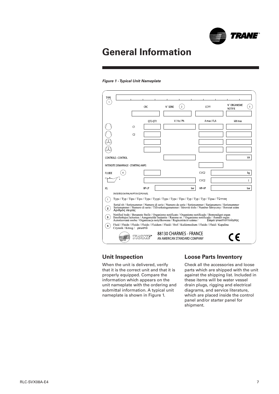

#### <span id="page-6-0"></span>**Figure 1 - Typical Unit Nameplate**

| <b>TYPE</b>                                                                                                                                                                                                                                                                                     |                |         |                            |                                                        |     |             |                     |                                |     |
|-------------------------------------------------------------------------------------------------------------------------------------------------------------------------------------------------------------------------------------------------------------------------------------------------|----------------|---------|----------------------------|--------------------------------------------------------|-----|-------------|---------------------|--------------------------------|-----|
|                                                                                                                                                                                                                                                                                                 | CRC            |         | $\overline{2}$<br>N° SERIE |                                                        |     | CCYY        |                     | N° ORGANISME<br><b>NOTIFIE</b> | 3   |
|                                                                                                                                                                                                                                                                                                 |                |         |                            |                                                        |     |             |                     |                                |     |
|                                                                                                                                                                                                                                                                                                 |                | QTE QTY |                            | V/Hz/Ph                                                |     | A max / FLA |                     | kW max                         |     |
|                                                                                                                                                                                                                                                                                                 | C1             |         |                            |                                                        |     |             |                     |                                |     |
|                                                                                                                                                                                                                                                                                                 | C <sub>2</sub> |         |                            |                                                        |     |             |                     |                                |     |
|                                                                                                                                                                                                                                                                                                 |                |         |                            |                                                        |     |             |                     |                                |     |
|                                                                                                                                                                                                                                                                                                 |                |         |                            |                                                        |     |             |                     |                                |     |
| CONTROLE CONTROL                                                                                                                                                                                                                                                                                |                |         |                            |                                                        |     |             |                     |                                | VA  |
| <b>INTENSITE DEMARRAGE - STARTING AMPS</b>                                                                                                                                                                                                                                                      |                |         |                            |                                                        |     |             |                     |                                |     |
| <b>FLUIDE</b>                                                                                                                                                                                                                                                                                   |                |         |                            |                                                        |     | C1/C2       |                     |                                | kg  |
|                                                                                                                                                                                                                                                                                                 |                |         |                            |                                                        |     | C1/C2       |                     |                                |     |
| <b>PS</b>                                                                                                                                                                                                                                                                                       | BP-LP          |         |                            |                                                        | bar | HP-HP       |                     |                                | bar |
| EN/DE/IT/ES/DA/FI/NL/NO/PT/SV/CZ/PO/HU/EL                                                                                                                                                                                                                                                       |                |         |                            |                                                        |     |             |                     |                                |     |
| Type / Typ / Tipo / Tipo / Type / Tyypi / Type / Type / Tipo / Typ / Typ / Typ / Tipus / TŮTTOC                                                                                                                                                                                                 |                |         |                            |                                                        |     |             |                     |                                |     |
| Serial nb / Serienummer / Numero di serie / Numero de serie / Serienummer / Sarjanumero / Serienummer<br>Serienummer / Numero di serie / Tillverkningsnummer / Sérovié èislo / Number fabryczny / Sorozat szám<br>$\overline{2}$<br>Αριθμός σειράς                                              |                |         |                            |                                                        |     |             |                     |                                |     |
| Notified body / Benannte Stelle / Organismo notificato / Organismo notificado / Bemyndiget organ<br>$\overline{3}$<br>Ilmoltettujen laitosten / Aangemelde Instantie / Ramme nr. / Organismo notificado / Ánmält organ<br>Autorizovaná osoba / Organizacia notvfikowana / Regiszstráció száma / |                |         |                            |                                                        |     |             | Σώμα γνωστοττοίησης |                                |     |
| Fluid / Fluide / Fluido / Fluido / Fluidum / Fluidi / Stof / Kuldemedium / Fluido / Fluid / Kapalina<br>Czynnik / Κözeg / ρευστό                                                                                                                                                                |                |         |                            |                                                        |     |             |                     |                                |     |
|                                                                                                                                                                                                                                                                                                 | ואיזארו        |         |                            | 88130 CHARMES - FRANCE<br>AN AMERICAN STANDARD COMPANY |     |             |                     |                                |     |

### **Unit Inspection**

When the unit is delivered, verify that it is the correct unit and that it is properly equipped. Compare the information which appears on the unit nameplate with the ordering and submittal information. A typical unit nameplate is shown in Figure 1.

### **Loose Parts Inventory**

Check all the accessories and loose parts which are shipped with the unit against the shipping list. Included in these items will be water vessel drain plugs, rigging and electrical diagrams, and service literature, which are placed inside the control panel and/or starter panel for shipment.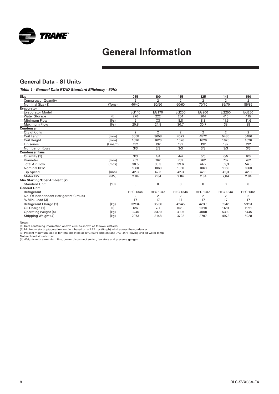<span id="page-7-0"></span>

## **General Data - SI Units**

#### **Table 1 - General Data RTAD Standard Efficiency - 60Hz**

| <b>Size</b>                             |                     | 085             | 100             | 115             | 125             | 145             | 150             |
|-----------------------------------------|---------------------|-----------------|-----------------|-----------------|-----------------|-----------------|-----------------|
| <b>Compressor Quantity</b>              |                     | $\overline{2}$  | $\overline{2}$  | $\overline{2}$  | $\overline{2}$  | $\overline{2}$  | $\overline{2}$  |
| Nominal Size (1)                        | (Tons)              | 40/40           | 50/50           | 60/60           | 70/70           | 85/70           | 85/85           |
| <b>Evaporator</b>                       |                     |                 |                 |                 |                 |                 |                 |
| <b>Evaporator Model</b>                 |                     | EG140           | EG170           | EG200           | EG200           | EG250           | EG250           |
| <b>Water Storage</b>                    | (1)                 | 270             | 222             | 204             | 204             | 415             | 415             |
| Minimum Flow                            | (1/s)               | 6               | 7.3             | 8.8             | 8.8             | 11.6            | 11.6            |
| Maximum Flow                            | (1/s)               | 20.8            | 24.8            | 30.7            | 30.7            | 38              | 38              |
| <b>Condenser</b>                        |                     |                 |                 |                 |                 |                 |                 |
| Oty of Coils                            |                     | $\overline{2}$  | $\overline{2}$  | $\overline{2}$  | $\overline{2}$  | $\overline{2}$  | $\overline{2}$  |
| Coil Length                             | (mm)                | 3658            | 3658            | 4572            | 4572            | 5486            | 5486            |
| Coil Height                             | (mm)                | 1626            | 1626            | 1626            | 1626            | 1626            | 1626            |
| Fin series                              | (Fins/ft)           | 192             | 192             | 192             | 192             | 192             | 192             |
| Number of Rows                          |                     | 3/3             | 3/3             | 3/3             | 3/3             | 3/3             | 3/3             |
| <b>Condenser Fans</b>                   |                     |                 |                 |                 |                 |                 |                 |
| Quantity (1)                            |                     | 3/3             | 4/4             | 4/4             | 5/5             | 6/5             | 6/6             |
| Diameter                                | (mm)                | 762             | 762             | 762             | 762             | 762             | 762             |
| <b>Total Air Flow</b>                   | (m <sup>3</sup> /s) | 30.5            | 35.3            | 39.6            | 44.2            | 52,3            | 54.5            |
| <b>Nominal RPM</b>                      |                     | 1060            | 1060            | 1060            | 1060            | 1060            | 1060            |
| <b>Tip Speed</b>                        | (m/s)               | 42.3            | 42.3            | 42.3            | 42.3            | 42,3            | 42.3            |
| Motor kW                                | (kW)                | 2.84            | 2.84            | 2.84            | 2.84            | 2,84            | 2.84            |
| Min Starting/Oper Ambient (2)           |                     |                 |                 |                 |                 |                 |                 |
| <b>Standard Unit</b>                    | $(^{\circ}C)$       | $\Omega$        | 0               | $\Omega$        | $\Omega$        | $\Omega$        | $\mathbf{0}$    |
| <b>General Unit</b>                     |                     |                 |                 |                 |                 |                 |                 |
| Refrigerant                             |                     | <b>HFC 134a</b> | <b>HFC 134a</b> | <b>HFC 134a</b> | <b>HFC 134a</b> | <b>HFC 134a</b> | <b>HFC 134a</b> |
| No. Of independent Refrigerant Circuits |                     | 2               | 2               | 2               | 2               | 2               | $\overline{2}$  |
| % Min. Load (3)                         |                     | 17              | 17              | 17              | 17              | 17              | 17              |
| Refrigerant Charge (1)                  | (kg)                | 32/34           | 35/36           | 42/45           | 42/45           | 59/61           | 59/61           |
| Oil Charge (1)                          | (1)                 | 6/6             | 7/7             | 10/10           | 10/10           | 11/11           | 11/11           |
| Operating Weight (4)                    | (kg                 | 3240            | 3370            | 3905            | 4000            | 5390            | 5445            |
| Shipping Weight (4)                     | (kg)                | 2973            | 3148            | 3702            | 3797            | 4973            | 5028            |

Notes: (1) Data containing information on two circuits shown as follows: ckt1/ckt2

(2) Minimum start-up/operation ambient based on a 2.22 m/s (5mph) wind across the condenser. (3) Percent minimum load is for total machine at 10°C (50F) ambient and 7°C (44F) leaving chilled water temp.

Not each individual circuit (4) Weights with aluminium fins, power disconnect switch, isolators and pressure gauges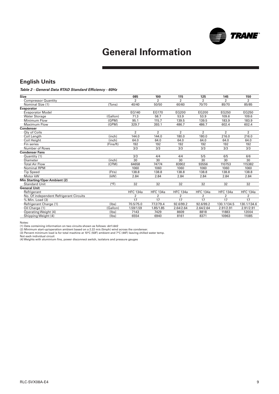

## **English Units**

#### **Table 2 - General Data RTAD Standard Efficiency - 60Hz**

| <b>Size</b>                             |               | 085             | 100             | 115             | 125             | 145             | 150             |
|-----------------------------------------|---------------|-----------------|-----------------|-----------------|-----------------|-----------------|-----------------|
| <b>Compressor Quantity</b>              |               | $\overline{2}$  | $\overline{2}$  | $\overline{2}$  | $\overline{2}$  | $\overline{2}$  | $\overline{2}$  |
| Nominal Size (1)                        | (Tons)        | 40/40           | 50/50           | 60/60           | 70/70           | 85/70           | 85/85           |
| Evaporator                              |               |                 |                 |                 |                 |                 |                 |
| <b>Evaporator Model</b>                 |               | EG140           | EG170           | EG200           | EG200           | EG250           | EG250           |
| <b>Water Storage</b>                    | (Gallon)      | 71.3            | 58.7            | 53.9            | 53.9            | 109.6           | 109.6           |
| Minimum Flow                            | (GPM)         | 95.1            | 115.7           | 139.5           | 139.5           | 183.9           | 183.9           |
| Maximum Flow                            | (GPM)         | 329.7           | 393.1           | 486.7           | 486.7           | 602.4           | 602.4           |
| <b>Condenser</b>                        |               |                 |                 |                 |                 |                 |                 |
| <b>Qty of Coils</b>                     |               | $\overline{2}$  | $\overline{2}$  | $\overline{2}$  | $\overline{2}$  | $\overline{2}$  | $\overline{2}$  |
| Coil Length                             | (inch)        | 144.0           | 144.0           | 180.0           | 180.0           | 216.0           | 216.0           |
| Coil Height                             | (inch)        | 64.0            | 64.0            | 64.0            | 64.0            | 64.0            | 64.0            |
| Fin series                              | (Fins/ft)     | 192             | 192             | 192             | 192             | 192             | 192             |
| Number of Rows                          |               | 3/3             | 3/3             | 3/3             | 3/3             | 3/3             | 3/3             |
| <b>Condenser Fans</b>                   |               |                 |                 |                 |                 |                 |                 |
| Quantity (1)                            |               | 3/3             | 4/4             | 4/4             | 5/5             | 6/5             | 6/6             |
| Diameter                                | (inch)        | 30              | 30              | 30              | 30              | 30              | 30              |
| <b>Total Air Flow</b>                   | (CFM)         | 64658           | 74774           | 83902           | 93556           | 110753          | 115382          |
| Nominal RPM                             |               | 1060            | 1060            | 1060            | 1060            | 1060            | 1060            |
| <b>Tip Speed</b>                        | (Ft/s)        | 138.8           | 138.8           | 138.8           | 138.8           | 138.8           | 138.8           |
| Motor kW                                | (kW)          | 2.84            | 2.84            | 2.84            | 2.84            | 2.84            | 2.84            |
| <b>Min Starting/Oper Ambient (2)</b>    |               |                 |                 |                 |                 |                 |                 |
| <b>Standard Unit</b>                    | $(^{\circ}F)$ | 32              | 32              | 32              | 32              | 32              | 32              |
| <b>General Unit</b>                     |               |                 |                 |                 |                 |                 |                 |
| Refrigerant                             |               | <b>HFC 134a</b> | <b>HFC 134a</b> | <b>HFC 134a</b> | <b>HFC 134a</b> | <b>HFC 134a</b> | <b>HFC 134a</b> |
| No. Of independent Refrigerant Circuits |               | $\overline{2}$  | $\overline{2}$  | 2               | 2               | 2               | 2               |
| % Min. Load (3)                         |               | 17              | 17              | 17              | 17              | 17              | 17              |
| Refrigerant Charge (1)                  | $($ Ibs $)$   | 70.5/75.0       | 77.2/79.4       | 92.6/99.2       | 92.6/99.2       | 130.1/134.5     | 130.1/134.6     |
| Oil Charge (1)                          | (Gallon)      | 1.59/1.59       | 1.85/1.85       | 2.64/2.64       | 2.64/2.64       | 2.91/2.91       | 2.91/2.91       |
| Operating Weight (4)                    | $($ lbs $)$   | 7143            | 7429            | 8609            | 8818            | 11883           | 12004           |
| Shipping Weight (4)                     | (lbs)         | 6554            | 6940            | 8161            | 8371            | 10963           | 11085           |
|                                         |               |                 |                 |                 |                 |                 |                 |

Notes:<br>(1) Data containing information on two circuits shown as follows: ckt1/ckt2<br>(2) Minimum start-up/operation ambient based on a 2.22 m/s (5mph) wind across the condenser.<br>(3) Percent minimum load is for total machine

Not each individual circuit (4) Weights with aluminium fins, power disconnect switch, isolators and pressure gauges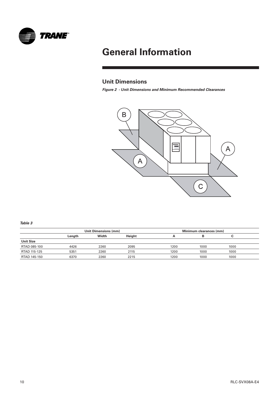<span id="page-9-0"></span>

## **Unit Dimensions**

**Figure 2 - Unit Dimensions and Minimum Recommended Clearances** 



**Table 3**

|                  |        | Unit Dimensions (mm) |        | Minimum clearances (mm) |      |      |  |  |
|------------------|--------|----------------------|--------|-------------------------|------|------|--|--|
|                  | Length | Width                | Height | n                       |      |      |  |  |
| <b>Unit Size</b> |        |                      |        |                         |      |      |  |  |
| RTAD 085-100     | 4426   | 2260                 | 2095   | 1200                    | 1000 | 1000 |  |  |
| RTAD 115-125     | 5351   | 2260                 | 2115   | 1200                    | 1000 | 1000 |  |  |
| RTAD 145-150     | 6370   | 2260                 | 2215   | 1200                    | 1000 | 1000 |  |  |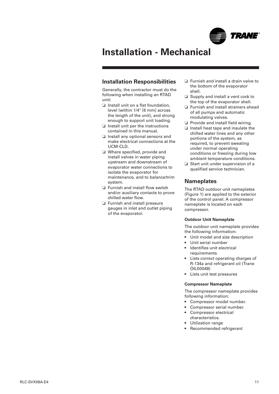

### <span id="page-10-0"></span>**Installation Responsibilities**

Generally, the contractor must do the following when installing an RTAD unit:

- ❏ Install unit on a flat foundation, level (within 1/4" [6 mm] across the length of the unit), and strong enough to support unit loading.
- ❏ Install unit per the instructions contained in this manual.
- ❏ Install any optional sensors and make electrical connections at the UCM-CLD.
- ❏ Where specified, provide and install valves in water piping upstream and downstream of evaporator water connections to isolate the evaporator for maintenance, and to balance/trim system.
- ❏ Furnish and install flow switch and/or auxiliary contacts to prove chilled water flow.
- ❏ Furnish and install pressure gauges in inlet and outlet piping of the evaporator.
- ❏ Furnish and install a drain valve to the bottom of the evaporator shell.
- ❏ Supply and install a vent cock to the top of the evaporator shell.
- ❏ Furnish and install strainers ahead of all pumps and automatic modulating valves.
- ❏ Provide and install field wiring.
- ❏ Install heat tape and insulate the chilled water lines and any other portions of the system, as required, to prevent sweating under normal operating conditions or freezing during low ambient temperature conditions.
- ❏ Start unit under supervision of a qualified service technician.

### **Nameplates**

The RTAD outdoor unit nameplates (Figure 1) are applied to the exterior of the control panel. A compressor nameplate is located on each compressor.

#### **Outdoor Unit Nameplate**

The outdoor unit nameplate provides the following information:

- Unit model and size description
- Unit serial number
- Identifies unit electrical requirements
- Lists correct operating charges of R-134a and refrigerant oil (Trane OIL00048)
- Lists unit test pressures

#### **Compressor Nameplate**

The compressor nameplate provides following information:

- Compressor model number.
- Compressor serial number.
- Compressor electrical characteristics.
- Utilization range
- Recommended refrigerant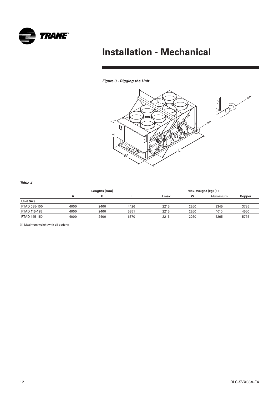

### **Figure 3 - Rigging the Unit**



#### **Table 4**

|                  |      | Lengths (mm) |      | Max. weight (kg) (1) |      |                  |        |  |  |
|------------------|------|--------------|------|----------------------|------|------------------|--------|--|--|
|                  | А    | в            |      | H max.               | W    | <b>Aluminium</b> | Copper |  |  |
| <b>Unit Size</b> |      |              |      |                      |      |                  |        |  |  |
| RTAD 085-100     | 4000 | 2400         | 4426 | 2215                 | 2260 | 3345             | 3785   |  |  |
| RTAD 115-125     | 4000 | 2400         | 5351 | 2215                 | 2260 | 4010             | 4560   |  |  |
| RTAD 145-150     | 4000 | 2400         | 6370 | 2215                 | 2260 | 5265             | 5775   |  |  |

(1) Maximum weight with all options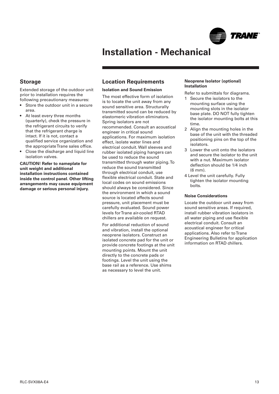

### <span id="page-12-0"></span>**Storage**

Extended storage of the outdoor unit prior to installation requires the following precautionary measures:

- Store the outdoor unit in a secure area.
- At least every three months (quarterly), check the pressure in the refrigerant circuits to verify that the refrigerant charge is intact. If it is not, contact a qualified service organization and the appropriate Trane sales office.
- Close the discharge and liquid line isolation valves.

**CAUTION! Refer to nameplate for unit weight and additional installation instructions contained inside the control panel. Other lifting arrangements may cause equipment damage or serious personal injury.**

### **Location Requirements**

#### **Isolation and Sound Emission**

The most effective form of isolation is to locate the unit away from any sound sensitive area. Structurally transmitted sound can be reduced by elastomeric vibration eliminators. Spring isolators are not recommended. Consult an acoustical engineer in critical sound applications. For maximum isolation effect, isolate water lines and electrical conduit. Wall sleeves and rubber isolated piping hangers can be used to reduce the sound transmitted through water piping. To reduce the sound transmitted through electrical conduit, use flexible electrical conduit. State and local codes on sound emissions should always be considered. Since the environment in which a sound source is located affects sound pressure, unit placement must be carefully evaluated. Sound power levels for Trane air-cooled RTAD chillers are available on request.

For additional reduction of sound and vibration, install the optional neoprene isolators. Construct an isolated concrete pad for the unit or provide concrete footings at the unit mounting points. Mount the unit directly to the concrete pads or footings. Level the unit using the base rail as a reference. Use shims as necessary to level the unit.

#### **Neoprene Isolator (optional) Installation**

Refer to submittals for diagrams.

- 1 Secure the isolators to the mounting surface using the mounting slots in the isolator base plate. DO NOT fully tighten the isolator mounting bolts at this time.
- 2 Align the mounting holes in the base of the unit with the threaded positioning pins on the top of the isolators.
- 3 Lower the unit onto the isolators and secure the isolator to the unit with a nut. Maximum isolator deflection should be 1/4 inch (6 mm).
- 4 Level the unit carefully. Fully tighten the isolator mounting bolts.

#### **Noise Considerations**

Locate the outdoor unit away from sound sensitive areas. If required, install rubber vibration isolators in all water piping and use flexible electrical conduit. Consult an acoustical engineer for critical applications. Also refer to Trane Engineering Bulletins for application information on RTAD chillers.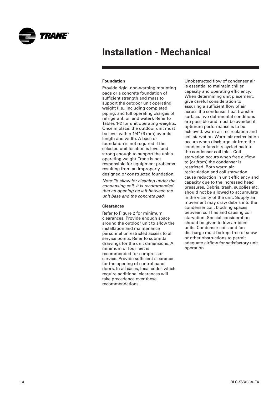<span id="page-13-0"></span>

#### **Foundation**

Provide rigid, non-warping mounting pads or a concrete foundation of sufficient strength and mass to support the outdoor unit operating weight (i.e., including completed piping, and full operating charges of refrigerant, oil and water). Refer to Tables 1-2 for unit operating weights. Once in place, the outdoor unit must be level within 1/4" (6 mm) over its length and width. A base or foundation is not required if the selected unit location is level and strong enough to support the unit's operating weight. Trane is not responsible for equipment problems resulting from an improperly designed or constructed foundation.

Note: To allow for cleaning under the condensing coil, it is recommended that an opening be left between the unit base and the concrete pad.

#### **Clearances**

Refer to Figure 2 for minimum clearances. Provide enough space around the outdoor unit to allow the installation and maintenance personnel unrestricted access to all service points. Refer to submittal drawings for the unit dimensions. A minimum of four feet is recommended for compressor service. Provide sufficient clearance for the opening of control panel doors. In all cases, local codes which require additional clearances will take precedence over these recommendations.

Unobstructed flow of condenser air is essential to maintain chiller capacity and operating efficiency. When determining unit placement, give careful consideration to assuring a sufficient flow of air across the condenser heat transfer surface. Two detrimental conditions are possible and must be avoided if optimum performance is to be achieved: warm air recirculation and coil starvation. Warm air recirculation occurs when discharge air from the condenser fans is recycled back to the condenser coil inlet. Coil starvation occurs when free airflow to (or from) the condenser is restricted. Both warm air recirculation and coil starvation cause reduction in unit efficiency and capacity due to the increased head pressures. Debris, trash, supplies etc. should not be allowed to accumulate in the vicinity of the unit. Supply air movement may draw debris into the condenser coil, blocking spaces between coil fins and causing coil starvation. Special consideration should be given to low ambient units. Condenser coils and fan discharge must be kept free of snow or other obstructions to permit adequate airflow for satisfactory unit operation.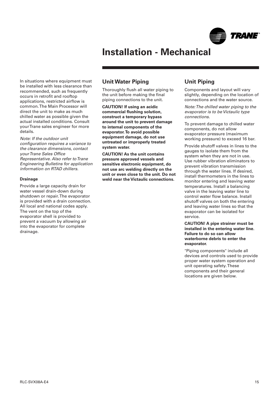

<span id="page-14-0"></span>In situations where equipment must be installed with less clearance than recommended, such as frequently occurs in retrofit and rooftop applications, restricted airflow is common. The Main Processor will direct the unit to make as much chilled water as possible given the actual installed conditions. Consult your Trane sales engineer for more details.

Note: If the outdoor unit configuration requires a variance to the clearance dimensions, contact your Trane Sales Office Representative. Also refer to Trane Engineering Bulletins for application information on RTAD chillers.

#### **Drainage**

Provide a large capacity drain for water vessel drain-down during shutdown or repair. The evaporator is provided with a drain connection. All local and national codes apply. The vent on the top of the evaporator shell is provided to prevent a vacuum by allowing air into the evaporator for complete drainage.

### **Unit Water Piping**

Thoroughly flush all water piping to the unit before making the final piping connections to the unit.

**CAUTION! If using an acidic commercial flushing solution, construct a temporary bypass around the unit to prevent damage to internal components of the evaporator.To avoid possible equipment damage, do not use untreated or improperly treated system water.**

**CAUTION! As the unit contains pressure approved vessels and sensitive electronic equipment, do not use arc welding directly on the unit or even close to the unit. Do not weld near the Victaulic connections.**

## **Unit Piping**

Components and layout will vary slightly, depending on the location of connections and the water source.

Note: The chilled water piping to the evaporator is to be Victaulic type connections.

To prevent damage to chilled water components, do not allow evaporator pressure (maximum working pressure) to exceed 16 bar.

Provide shutoff valves in lines to the gauges to isolate them from the system when they are not in use. Use rubber vibration eliminators to prevent vibration transmission through the water lines. If desired, install thermometers in the lines to monitor entering and leaving water temperatures. Install a balancing valve in the leaving water line to control water flow balance. Install shutoff valves on both the entering and leaving water lines so that the evaporator can be isolated for service.

**CAUTION! A pipe strainer must be installed in the entering water line. Failure to do so can allow waterborne debris to enter the evaporator.**

"Piping components" include all devices and controls used to provide proper water system operation and unit operating safety. These components and their general locations are given below.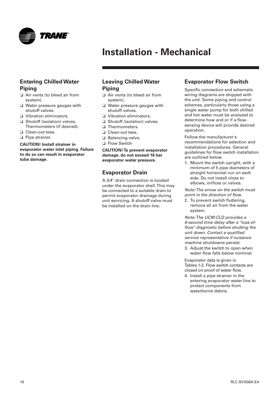<span id="page-15-0"></span>

### **Entering Chilled Water Piping**

- ❏ Air vents (to bleed air from system).
- ❏ Water pressure gauges with shutoff valves.
- ❏ Vibration eliminators.
- ❏ Shutoff (isolation) valves. Thermometers (if desired).
- ❏ Clean-out tees.
- ❏ Pipe strainer.

#### **CAUTION! Install strainer in evaporator water inlet piping. Failure to do so can result in evaporator tube damage.**

### **Leaving Chilled Water Piping**

- ❏ Air vents (to bleed air from system).
- ❏ Water pressure gauges with shutoff valves.
- ❏ Vibration eliminators.
- ❏ Shutoff (isolation) valves.
- ❏ Thermometers.
- ❏ Clean-out tees.
- ❏ Balancing valve.
- ❏ Flow Switch

**CAUTION! To prevent evaporator damage, do not exceed 16 bar evaporator water pressure.**

## **Evaporator Drain**

A 3/4" drain connection is located under the evaporator shell. This may be connected to a suitable drain to permit evaporator drainage during unit servicing. A shutoff valve must be installed on the drain line.

## **Evaporator Flow Switch**

Specific connection and schematic wiring diagrams are shipped with the unit. Some piping and control schemes, particularly those using a single water pump for both chilled and hot water must be analyzed to determine how and or if a flowsensing device will provide desired operation.

Follow the manufacturer's recommendations for selection and installation procedures. General guidelines for flow switch installation are outlined below

1. Mount the switch upright, with a minimum of 5 pipe diameters of straight horizontal run on each side. Do not install close to elbows, orifices or valves.

Note: The arrow on the switch must point in the direction of flow.

2. To prevent switch fluttering, remove all air from the water system.

Note: The UCM-CLD provides a 6-second time delay after a "loss-offlow" diagnostic before shutting the unit down. Contact a qualified service representative if nuisance machine shutdowns persist.

3. Adjust the switch to open when water flow falls below nominal.

Evaporator data is given in Tables 1-2. Flow switch contacts are closed on proof of water flow.

4. Install a pipe strainer in the entering evaporator water line to protect components from waterborne debris.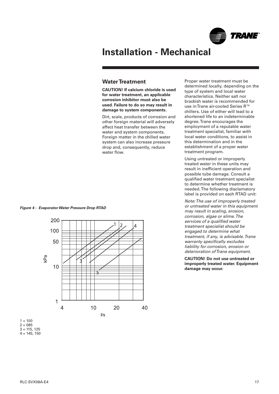

## <span id="page-16-0"></span>**Water Treatment**

**CAUTION! If calcium chloride is used for water treatment, an applicable corrosion inhibitor must also be used. Failure to do so may result in damage to system components.**

Dirt, scale, products of corrosion and other foreign material will adversely affect heat transfer between the water and system components. Foreign matter in the chilled water system can also increase pressure drop and, consequently, reduce water flow.

**Figure 4 - Evaporator Water Pressure Drop RTAD**



Proper water treatment must be determined locally, depending on the type of system and local water characteristics. Neither salt nor brackish water is recommended for use in Trane air-cooled Series R™ chillers. Use of either will lead to a shortened life to an indeterminable degree. Trane encourages the employment of a reputable water treatment specialist, familiar with local water conditions, to assist in this determination and in the establishment of a proper water treatment program.

Using untreated or improperly treated water in these units may result in inefficient operation and possible tube damage. Consult a qualified water treatment specialist to determine whether treatment is needed. The following disclamatory label is provided on each RTAD unit:

Note: The use of improperly treated or untreated water in this equipment may result in scaling, erosion, corrosion, algae or slime. The services of a qualified water treatment specialist should be engaged to determine what treatment, if any, is advisable. Trane warranty specifically excludes liability for corrosion, erosion or deterioration of Trane equipment.

**CAUTION! Do not use untreated or improperly treated water. Equipment damage may occur.**

 $4 = 145, 150$ 

 $1 = 100$  $2 = 085$  $3 = 115, 125$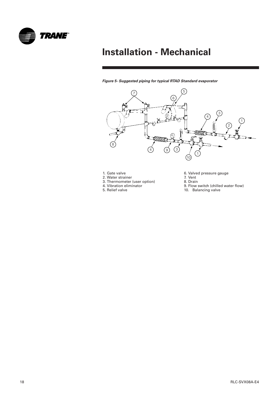

**Figure 5- Suggested piping for typical RTAD Standard evaporator**



- 1. Gate valve
- 2. Water strainer
- 3. Thermometer (user option) 4. Vibration eliminator
- 5. Relief valve
- 6. Valved pressure gauge
- 7. Vent
- 8. Drain
- 9. Flow switch (chilled water flow)
- 10. Balancing valve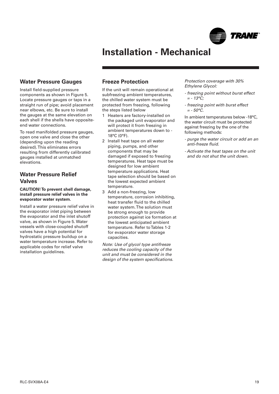

## <span id="page-18-0"></span>**Water Pressure Gauges**

Install field-supplied pressure components as shown in Figure 5. Locate pressure gauges or taps in a straight run of pipe; avoid placement near elbows, etc. Be sure to install the gauges at the same elevation on each shell if the shells have oppositeend water connections.

To read manifolded pressure gauges, open one valve and close the other (depending upon the reading desired). This eliminates errors resulting from differently calibrated gauges installed at unmatched elevations.

## **Water Pressure Relief Valves**

#### **CAUTION! To prevent shell damage, install pressure relief valves in the evaporator water system.**

Install a water pressure relief valve in the evaporator inlet piping between the evaporator and the inlet shutoff valve, as shown in Figure 5. Water vessels with close-coupled shutoff valves have a high potential for hydrostatic pressure buildup on a water temperature increase. Refer to applicable codes for relief valve installation guidelines.

## **Freeze Protection**

If the unit will remain operational at subfreezing ambient temperatures, the chilled water system must be protected from freezing, following the steps listed below

- 1 Heaters are factory-installed on the packaged unit evaporator and will protect it from freezing in ambient temperatures down to - 18°C (0°F).
- 2 Install heat tape on all water piping, pumps, and other components that may be damaged if exposed to freezing temperatures. Heat tape must be designed for low ambient temperature applications. Heat tape selection should be based on the lowest expected ambient temperature.
- 3 Add a non-freezing, low temperature, corrosion inhibiting, heat transfer fluid to the chilled water system. The solution must be strong enough to provide protection against ice formation at the lowest anticipated ambient temperature. Refer to Tables 1-2 for evaporator water storage capacities.

Note: Use of glycol type antifreeze reduces the cooling capacity of the unit and must be considered in the design of the system specifications.

Protection coverage with 30% Ethylene Glycol:

- freezing point without burst effect = - 13°C;
- freezing point with burst effect  $=$  - 50°C.

In ambient temperatures below -18°C, the water circuit must be protected against freezing by the one of the following methods:

- purge the water circuit or add an an anti-freeze fluid.
- Activate the heat tapes on the unit and do not shut the unit down.

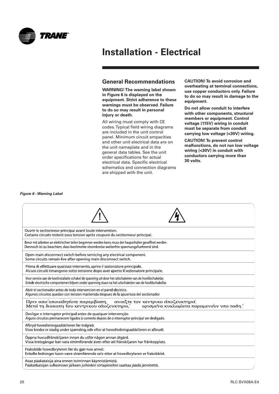<span id="page-19-0"></span>

### **General Recommendations**

**WARNING! The warning label shown in Figure 6 is displayed on the equipment. Strict adherence to these warnings must be observed. Failure to do so may result in personal injury or death.**

All wiring must comply with CE codes. Typical field wiring diagrams are included in the unit control panel. Minimum circuit ampacities and other unit electrical data are on the unit nameplate and in the general data tables. See the unit order specifications for actual electrical data. Specific electrical schematics and connection diagrams are shipped with the unit.

**CAUTION! To avoid corrosion and overheating at terminal connections, use copper conductors only. Failure to do so may result in damage to the equipment.**

**Do not allow conduit to interfere with other components, structural members or equipment. Control voltage (115V) wiring in conduit must be separate from conduit carrying low voltage (<30V) wiring.**

**CAUTION! To prevent control malfunctions, do not run low voltage wiring (<30V) in conduit with conductors carrying more than 30 volts.**

#### **Figure 6 - Warning Label**

| Ouvrir le sectionneur principal avant toute intervention.<br>Certains circuits restent sous tension après coupure du sectionneur principal.                                                                          |
|----------------------------------------------------------------------------------------------------------------------------------------------------------------------------------------------------------------------|
| Bevor mit arbeiten an elektrischen teilen begonnen werden kann, muss der haupschalter geoeffnet werden.<br>Dennoch ist zu beachten, dass bestimmte stromkreise weiterhin spannungsfuehrend sind.                     |
| Open main disconnect switch before servicing any electrical component.<br>Some circuits remain live after opening main disconnect switch.                                                                            |
| Prima di effettuare qualsiasi intervento, aprire il sezionatore principale.<br>Alcuni circuiti rimangono sotto tensione dopo aver aperto il sezionatore principale.                                                  |
| Voor service aan de koelinstallatie schakel de spanning uit door het uitschakelen van de hoofdschakellar.<br>Enkele electrische compontenen blijven onder spanning staan na het uitschakelen van de hoofdschakellar. |
| Abrir el sectionador antes de toda intervencion en el panel electrico.<br>Algunos circuitos quedan con tension mantenida despues de la apuertura del sectionador.                                                    |
| Πριν απο' οποιαδηποτε παρεμβαση,<br>ανοιζτε τον κεντρικο άποζευκτηρα.<br>Μετά τη διακοπη του κεντρικου αποζευκτηρα,<br>ορισμενα κυκλωματα παραμενούν υπο ταση.                                                       |
| Desligar o interruptor principal antes de qualquer intervenção.<br>Alguns circuitos permanecem ligados à corrente depois de o interruptor principal ser desligado.                                                   |
| Afbryd hovedleningsadskilleren før indgreb.<br>Visse kredse er stadig under spænding, selv efter at hovedledningsadskilleren er afbrudt.                                                                             |
| Öppna huvudfrånskiljaren innan du utför någon annan åtgärd.<br>Vissa kretsgångar kan vara strömförande även efter att frånskiljaren har frånkopplats.                                                                |
| Frakobble hovedbryteren før du gjør noe annet.<br>Enkelte ledninger kann være strømførende selv etter at hovedbryteren er frakobblet.                                                                                |
| Avaa päakataisija aina ennen toiminnan käynnistämistä.<br>Pääkatkaisijan sulkemisen jälkeen joihinkin virtapiireihin saattaa jäädä jännitettä.                                                                       |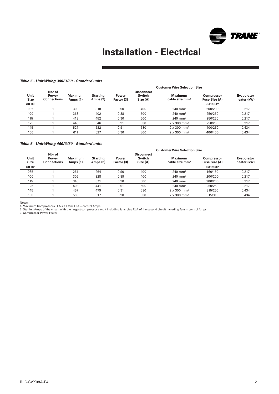

#### **Table 5 - Unit Wiring 380/3/60 - Standard units**

|                     |                                       |                            | <b>Customer Wire Selection Size</b> |                     |                                         |                                              |                                    |                                  |  |  |  |  |
|---------------------|---------------------------------------|----------------------------|-------------------------------------|---------------------|-----------------------------------------|----------------------------------------------|------------------------------------|----------------------------------|--|--|--|--|
| Unit<br><b>Size</b> | Nbr of<br>Power<br><b>Connections</b> | <b>Maximum</b><br>Amps (1) | <b>Starting</b><br>Amps (2)         | Power<br>Factor (3) | <b>Disconnect</b><br>Switch<br>Size (A) | <b>Maximum</b><br>cable size mm <sup>2</sup> | <b>Compressor</b><br>Fuse Size (A) | <b>Evaporator</b><br>heater (kW) |  |  |  |  |
| 60 Hz               |                                       |                            |                                     |                     |                                         |                                              | ckt1/ckt2                          |                                  |  |  |  |  |
| 085                 |                                       | 303                        | 318                                 | 0.90                | 400                                     | $240$ mm <sup>2</sup>                        | 200/200                            | 0.217                            |  |  |  |  |
| 100                 |                                       | 368                        | 402                                 | 0.88                | 500                                     | $240$ mm <sup>2</sup>                        | 250/250                            | 0.217                            |  |  |  |  |
| 115                 |                                       | 418                        | 452                                 | 0.90                | 500                                     | $240$ mm <sup>2</sup>                        | 250/250                            | 0.217                            |  |  |  |  |
| 125                 |                                       | 443                        | 546                                 | 0.91                | 630                                     | $2 \times 300$ mm <sup>2</sup>               | 250/250                            | 0.217                            |  |  |  |  |
| 145                 |                                       | 527                        | 582                                 | 0.91                | 630                                     | $2 \times 300$ mm <sup>2</sup>               | 400/250                            | 0.434                            |  |  |  |  |
| 150                 |                                       | 611                        | 627                                 | 0.90                | 800                                     | $2 \times 300$ mm <sup>2</sup>               | 400/400                            | 0.434                            |  |  |  |  |

#### **Table 6 - Unit Wiring 460/3/60 - Standard units**

| <b>Customer Wire Selection Size</b>   |                     |                             |                     |                                                |                                       |                                    |                                  |  |
|---------------------------------------|---------------------|-----------------------------|---------------------|------------------------------------------------|---------------------------------------|------------------------------------|----------------------------------|--|
| Nbr of<br>Power<br><b>Connections</b> | Maximum<br>Amps (1) | <b>Starting</b><br>Amps (2) | Power<br>Factor (3) | <b>Disconnect</b><br><b>Switch</b><br>Size (A) | Maximum<br>cable size mm <sup>2</sup> | <b>Compressor</b><br>Fuse Size (A) | <b>Evaporator</b><br>heater (kW) |  |
|                                       |                     |                             |                     |                                                |                                       | ckt1/ckt2                          |                                  |  |
|                                       | 251                 | 264                         | 0.90                | 400                                            | $240$ mm <sup>2</sup>                 | 160/160                            | 0.217                            |  |
|                                       | 305                 | 328                         | 0.89                | 400                                            | $240$ mm <sup>2</sup>                 | 200/200                            | 0.217                            |  |
|                                       | 346                 | 371                         | 0.90                | 500                                            | $240$ mm <sup>2</sup>                 | 200/200                            | 0.217                            |  |
|                                       | 408                 | 441                         | 0.91                | 500                                            | $240$ mm <sup>2</sup>                 | 250/250                            | 0.217                            |  |
|                                       | 457                 | 479                         | 0.91                | 630                                            | $2 \times 300$ mm <sup>2</sup>        | 315/250                            | 0.434                            |  |
|                                       | 505                 | 517                         | 0.90                | 630                                            | $2 \times 300$ mm <sup>2</sup>        | 315/315                            | 0.434                            |  |
|                                       |                     |                             |                     |                                                |                                       |                                    |                                  |  |

Notes:<br>1. Maximum Compressors FLA + all fans FLA + control Amps<br>2. Starting Amps of the circuit with the largest compressor circuit including fans plus RLA of the second circuit including fans + control Amps<br>2. Compressor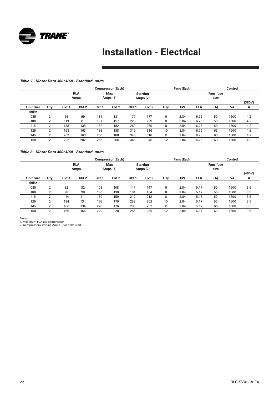

#### **Table 7 - Motor Data 380/3/60 - Standard units**

|                  |                    |       |                  |                  | <b>Compressor (Each)</b>                              |       |                  |                          | Fans (Each) |            | Control |           |        |
|------------------|--------------------|-------|------------------|------------------|-------------------------------------------------------|-------|------------------|--------------------------|-------------|------------|---------|-----------|--------|
|                  | <b>RLA</b><br>Amps |       |                  |                  | <b>Max</b><br><b>Starting</b><br>Amps (1)<br>Amps (2) |       |                  | <b>Fans fuse</b><br>size |             |            |         |           |        |
|                  |                    |       |                  |                  |                                                       |       |                  |                          |             |            |         |           | (380V) |
| <b>Unit Size</b> | Qty                | Ckt 1 | Ckt <sub>2</sub> | Ckt <sub>1</sub> | Ckt <sub>2</sub>                                      | Ckt 1 | Ckt <sub>2</sub> | Qty                      | kW          | <b>FLA</b> | (A)     | <b>VA</b> | A      |
| 60Hz             |                    |       |                  |                  |                                                       |       |                  |                          |             |            |         |           |        |
| 085              | 2                  | 99    | 99               | 131              | 131                                                   | 177   | 177              | 6                        | 2.84        | 6.25       | 50      | 1600      | 4.2    |
| 100              |                    | 119   | 119              | 157              | 157                                                   | 229   | 229              | 8                        | 2.84        | 6.25       | 50      | 1600      | 4.2    |
| 115              | 2                  | 138   | 138              | 182              | 182                                                   | 260   | 260              | 8                        | 2.84        | 6.25       | 50      | 1600      | 4.2    |
| 125              | 2                  | 163   | 163              | 188              | 188                                                   | 316   | 316              | 10                       | 2.84        | 6.25       | 63      | 1600      | 4.2    |
| 145              | 2                  | 202   | 163              | 266              | 188                                                   | 346   | 316              | 11                       | 2.84        | 6.25       | 63      | 1600      | 4.2    |
| 150              | າ                  | 202   | 202              | 266              | 266                                                   | 346   | 346              | 12                       | 2.84        | 6.25       | 63      | 1600      | 4.2    |

#### **Table 8 - Motor Data 460/3/60 - Standard units**

|                  |     |       |                    |       | <b>Compressor (Each)</b> |       |                               |            | Fans (Each) |            |                          | Control |        |
|------------------|-----|-------|--------------------|-------|--------------------------|-------|-------------------------------|------------|-------------|------------|--------------------------|---------|--------|
|                  |     |       | <b>RLA</b><br>Amps |       | <b>Max</b><br>Amps (1)   |       | <b>Starting</b><br>Amps $(2)$ |            |             |            | <b>Fans fuse</b><br>size |         |        |
|                  |     |       |                    |       |                          |       |                               |            |             |            |                          |         | (460V) |
| <b>Unit Size</b> | Qty | Ckt 1 | Ckt <sub>2</sub>   | Ckt 1 | Ckt <sub>2</sub>         | Ckt 1 | Ckt <sub>2</sub>              | <b>Qty</b> | kW          | <b>FLA</b> | (A)                      | VA      | A      |
| 60Hz             |     |       |                    |       |                          |       |                               |            |             |            |                          |         |        |
| 085              | 2   | 82    | 82                 | 108   | 108                      | 147   | 147                           | 6          | 2.84        | 5.17       | 50                       | 1600    | 3.5    |
| 100              | っ   | 98    | 98                 | 130   | 130                      | 184   | 184                           | 8          | 2.84        | 5.17       | 50                       | 1600    | 3.5    |
| 115              | 2   | 114   | 114                | 150   | 150                      | 212   | 212                           | 8          | 2.84        | 5.17       | 50                       | 1600    | 3.5    |
| 125              | າ   | 134   | 134                | 176   | 176                      | 252   | 252                           | 10         | 2.84        | 5.17       | 50                       | 1600    | 3.5    |
| 145              | 2   | 166   | 134                | 220   | 176                      | 285   | 252                           | 11         | 2.84        | 5.17       | 63                       | 1600    | 3.5    |
| 150              | 2   | 166   | 166                | 220   | 220                      | 285   | 285                           | 12         | 2.84        | 5.17       | 63                       | 1600    | 3.5    |

Notes: 1. Maximum FLA per compressor. 2. Compressors starting Amps, Star delta start.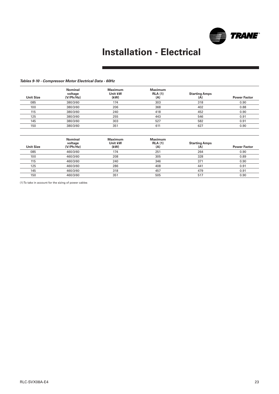

#### **Tables 9-10 - Compressor Motor Electrical Data - 60Hz**

| <b>Unit Size</b> | <b>Nominal</b><br>voltage<br>(V/Ph/Hz) | <b>Maximum</b><br>Unit kW<br>(kW) | <b>Maximum</b><br><b>RLA (1)</b><br>(A) | <b>Starting Amps</b><br>(A) | <b>Power Factor</b> |
|------------------|----------------------------------------|-----------------------------------|-----------------------------------------|-----------------------------|---------------------|
| 085              | 380/3/60                               | 174                               | 303                                     | 318                         | 0.90                |
| 100              | 380/3/60                               | 206                               | 368                                     | 402                         | 0.88                |
| 115              | 380/3/60                               | 240                               | 418                                     | 452                         | 0.90                |
| 125              | 380/3/60                               | 255                               | 443                                     | 546                         | 0.91                |
| 145              | 380/3/60                               | 303                               | 527                                     | 582                         | 0.91                |
| 150              | 380/3/60                               | 351                               | 611                                     | 627                         | 0.90                |

| <b>Unit Size</b> | <b>Nominal</b><br>voltage<br>(V/Ph/Hz) | <b>Maximum</b><br>Unit kW<br>(kW) | <b>Maximum</b><br><b>RLA (1)</b><br>(A) | <b>Starting Amps</b><br>(A) | <b>Power Factor</b> |
|------------------|----------------------------------------|-----------------------------------|-----------------------------------------|-----------------------------|---------------------|
| 085              | 460/3/60                               | 174                               | 251                                     | 264                         | 0.90                |
| 100              | 460/3/60                               | 208                               | 305                                     | 328                         | 0.89                |
| 115              | 460/3/60                               | 240                               | 346                                     | 371                         | 0.90                |
| 125              | 460/3/60                               | 286                               | 408                                     | 441                         | 0.91                |
| 145              | 460/3/60                               | 318                               | 457                                     | 479                         | 0.91                |
| 150              | 460/3/60                               | 351                               | 505                                     | 517                         | 0.90                |

(1) To take in account for the sizing of power cables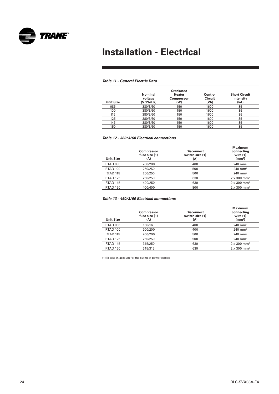

#### **Table 11 - General Electric Data**

| <b>Unit Size</b> | <b>Nominal</b><br>voltage<br>(V/Ph/Hz) | Crankcase<br><b>Heater</b><br><b>Compressor</b><br>(W) | Control<br><b>Circuit</b><br>(VA) | <b>Short Circuit</b><br>Intensity<br>(kA) |
|------------------|----------------------------------------|--------------------------------------------------------|-----------------------------------|-------------------------------------------|
| 085              | 380/3/60                               | 150                                                    | 1600                              | 35                                        |
| 100              | 380/3/60                               | 150                                                    | 1600                              | 35                                        |
| 115              | 380/3/60                               | 150                                                    | 1600                              | 35                                        |
| 125              | 380/3/60                               | 150                                                    | 1600                              | 35                                        |
| 145              | 380/3/60                               | 150                                                    | 1600                              | 35                                        |
| 150              | 380/3/60                               | 150                                                    | 1600                              | 35                                        |

#### **Table 12 - 380/3/60 Electrical connections**

| <b>Unit Size</b> | <b>Compressor</b><br>fuse size (1)<br>(A) | <b>Disconnect</b><br>switch size (1)<br>(A) | Maximum<br>connecting<br>wire $(1)$<br>(mm <sup>2</sup> ) |
|------------------|-------------------------------------------|---------------------------------------------|-----------------------------------------------------------|
| <b>RTAD 085</b>  | 200/200                                   | 400                                         | $240$ mm <sup>2</sup>                                     |
| <b>RTAD 100</b>  | 250/250                                   | 500                                         | $240 \; \mathrm{mm}^2$                                    |
| <b>RTAD 115</b>  | 250/250                                   | 500                                         | $240$ mm <sup>2</sup>                                     |
| <b>RTAD 125</b>  | 250/250                                   | 630                                         | $2 \times 300$ mm <sup>2</sup>                            |
| RTAD 145         | 400/250                                   | 630                                         | $2 \times 300$ mm <sup>2</sup>                            |
| <b>RTAD 150</b>  | 400/400                                   | 800                                         | $2 \times 300$ mm <sup>2</sup>                            |

#### **Table 13 - 460/3/60 Electrical connections**

| <b>Unit Size</b> | <b>Compressor</b><br>fuse size (1)<br>(A) | <b>Disconnect</b><br>switch size (1)<br>(A) | <b>Maximum</b><br>connecting<br>wire $(1)$<br>(mm <sup>2</sup> ) |
|------------------|-------------------------------------------|---------------------------------------------|------------------------------------------------------------------|
| <b>RTAD 085</b>  | 160/160                                   | 400                                         | $240 \; \mathrm{mm}^2$                                           |
| <b>RTAD 100</b>  | 200/200                                   | 400                                         | $240 \; \mathrm{mm}^2$                                           |
| <b>RTAD 115</b>  | 200/200                                   | 500                                         | $240$ mm <sup>2</sup>                                            |
| <b>RTAD 125</b>  | 250/250                                   | 500                                         | $240 \; \text{mm}^2$                                             |
| <b>RTAD 145</b>  | 315/250                                   | 630                                         | $2 \times 300$ mm <sup>2</sup>                                   |
| <b>RTAD 150</b>  | 315/315                                   | 630                                         | $2 \times 300$ mm <sup>2</sup>                                   |

(1) To take in account for the sizing of power cables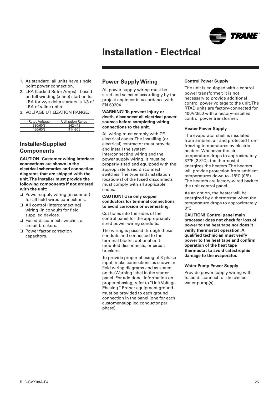

- <span id="page-24-0"></span>1. As standard, all units have single point power connection.
- 2. LRA (Locked Rotor Amps) based on full winding (x-line) start units. LRA for wye-delta starters is 1/3 of LRA of x-line units.
- 3. VOLTAGE UTILIZATION RANGE:

| <b>Rated Voltage</b> | <b>Utilization Range</b> |
|----------------------|--------------------------|
| 380/60/3             | 342-418                  |
| 460/60/3             | 414-506                  |

## **Installer-Supplied Components**

**CAUTION! Customer wiring interface connections are shown in the electrical schematics and connection diagrams that are shipped with the unit.The installer must provide the following components if not ordered with the unit:**

- ❏ Power supply wiring (in conduit) for all field-wired connections.
- ❏ All control (interconnecting) wiring (in conduit) for field supplied devices.
- ❏ Fused-disconnect switches or circuit breakers.
- ❏ Power factor correction capacitors.

### **Power Supply Wiring**

All power supply wiring must be sized and selected accordingly by the project engineer in accordance with EN 60204.

#### **WARNING! To prevent injury or death, disconnect all electrical power sources before completing wiring connections to the unit.**

All wiring must comply with CE electrical codes. The installing (or electrical) contractor must provide and install the system interconnecting wiring and the power supply wiring. It must be properly sized and equipped with the appropriate fused disconnect switches. The type and installation location(s) of the fused disconnects must comply with all applicable codes.

#### **CAUTION! Use only copper conductors for terminal connections to avoid corrosion or overheating.**

Cut holes into the sides of the control panel for the appropriately sized power wiring conduits.

The wiring is passed through these conduits and connected to the terminal blocks, optional unitmounted disconnects, or circuit breakers.

To provide proper phasing of 3-phase input, make connections as shown in field wiring diagrams and as stated on the Warning label in the starter panel. For additional information on proper phasing, refer to "Unit Voltage Phasing." Proper equipment ground must be provided to each ground connection in the panel (one for each customer-supplied conductor per phase).

#### **Control Power Supply**

The unit is equipped with a control power transformer; it is not necessary to provide additional control power voltage to the unit. The RTAD units are factory-connected for 400V/3/50 with a factory-installed control power transformer.

#### **Heater Power Supply**

The evaporator shell is insulated from ambient air and protected from freezing temperatures by electric heaters. Whenever the air temperature drops to approximately 37°F (2.8°C), the thermostat energizes the heaters. The heaters will provide protection from ambient temperatures down to -18°C (0°F). The heaters are factory-wired back to the unit control panel.

As an option, the heater will be energized by a thermostat when the temperature drops to approximately  $3^{\circ}$ C.

**CAUTION! Control panel main processor does not check for loss of power to the heat tape nor does it verify thermostat operation. A qualified technician must verify power to the heat tape and confirm operation of the heat tape thermostat to avoid catastrophic damage to the evaporator.**

#### **Water Pump Power Supply**

Provide power supply wiring with fused disconnect for the chilled water pump(s).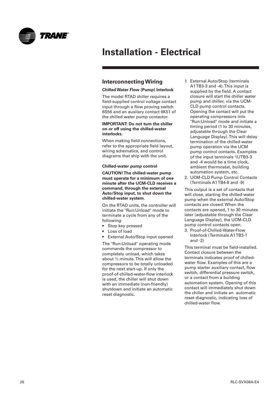<span id="page-25-0"></span>

### **Interconnecting Wiring**

#### **Chilled Water Flow (Pump) Interlock**

The model RTAD chiller requires a field-supplied control voltage contact input through a flow proving switch 6S56 and an auxilary contact 6K51 of the chilled water pump contactor.

#### **IMPORTANT: Do not turn the chiller on or off using the chilled-water interlocks.**

When making field connections, refer to the appropriate field layout, wiring schematics, and control diagrams that ship with the unit.

#### **Chilled-water pump control**

**CAUTION! The chilled-water pump must operate for a minimum of one minute after the UCM-CLD receives a command, through the external Auto/Stop input, to shut down the chilled-water system.**

On the RTAD units, the controller will initiate the "Run:Unload" mode to terminate a cycle from any of the following:

- Stop key pressed
- Loss of load
- External Auto/Stop input opened

The "Run:Unload" operating mode commands the compressor to completely unload, which takes about ½ minute. This will allow the compressors to be totally unloaded for the next start-up. If only the proof-of-chilled-water-flow interlock is used, the chiller will shut down with an immediate (non-friendly) shutdown and initiate an automatic reset diagnostic.

- 1. External Auto/Stop (terminals A1TB3-3 and -4). This input is supplied by the field. A contact closure will start the chiller water pump and chiller, via the UCM-CLD pump control contacts. Opening the contact will put the operating compressors into "Run:Unload" mode and initiate a timing period (1 to 30 minutes, adjustable through the Clear Language Display). This will delay termination of the chilled-water pump operation via the UCM pump control contacts. Examples of the input terminals 1UTB3-3 and -4 would be a time clock, ambient thermostat, building automation system, etc.
- 2. UCM-CLD Pump Control Contacts (Terminals A1 TB4-8 and -9)

This output is a set of contacts that will close, starting the chilled-water pump when the external Auto/Stop contacts are closed. When the contacts are opened, 1 to 30 minutes later (adjustable through the Clear Language Display), the UCM-CLD pump control contacts open.

3. Proof-of-Chilled-Water-Flow Interlock (Terminals A1 TB3-1 and -2)

This terminal must be field-installed. Contact closure between the terminals indicates proof of chilledwater flow. Examples of this are a pump starter auxiliary contact, flow switch, differential pressure switch, or a contact from a building automation system. Opening of this contact will immediately shut down the chiller and initiate an automatic reset diagnostic, indicating loss of chilled-water flow.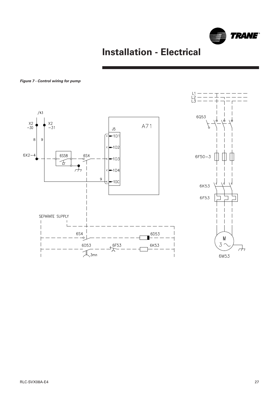

#### **Figure 7 - Control wiring for pump**

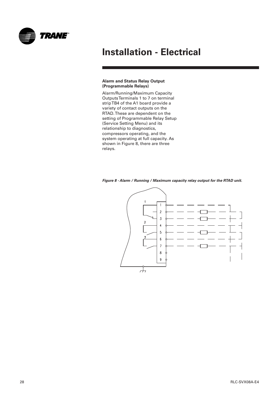<span id="page-27-0"></span>

#### **Alarm and Status Relay Output (Programmable Relays)**

Alarm/Running/Maximum Capacity Outputs Terminals 1 to 7 on terminal strip TB4 of the A1 board provide a variety of contact outputs on the RTAD. These are dependent on the setting of Programmable Relay Setup (Service Setting Menu) and its relationship to diagnostics, compressors operating, and the system operating at full capacity. As shown in Figure 8, there are three relays.



**Figure 8 - Alarm / Running / Maximum capacity relay output for the RTAD unit.**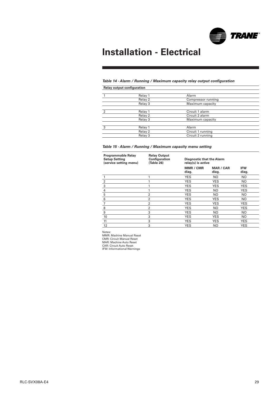

### **Table 14 - Alarm / Running / Maximum capacity relay output configuration**

**Relay output configuration**

|   | Relay 1 | Alarm              |  |
|---|---------|--------------------|--|
|   | Relay 2 | Compressor running |  |
|   | Relay 3 | Maximum capacity   |  |
|   |         |                    |  |
|   | Relay 1 | Circuit 1 alarm    |  |
|   | Relay 2 | Circuit 2 alarm    |  |
|   | Relay 3 | Maximum capacity   |  |
|   |         |                    |  |
| 3 | Relay 1 | Alarm              |  |
|   | Relay 2 | Circuit 1 running  |  |
|   | Relay 3 | Circuit 2 running  |  |

#### **Table 15 - Alarm / Running / Maximum capacity menu setting**

| <b>Programmable Relay</b><br><b>Setup Setting</b><br>(service setting menu) | <b>Relay Output</b><br>Configuration<br>(Table 26) | <b>Diagnostic that the Alarm</b><br>relay(s) is active |                           |                     |
|-----------------------------------------------------------------------------|----------------------------------------------------|--------------------------------------------------------|---------------------------|---------------------|
|                                                                             |                                                    | <b>MMR / CMR</b><br>diag.                              | <b>MAR / CAR</b><br>diag. | <b>IFW</b><br>diag. |
| 1                                                                           | 1                                                  | <b>YES</b>                                             | NO.                       | NO.                 |
| $\overline{c}$                                                              | 1                                                  | <b>YES</b>                                             | <b>YES</b>                | NO.                 |
| 3                                                                           | 1                                                  | <b>YES</b>                                             | YES                       | <b>YES</b>          |
| 4                                                                           | 1                                                  | <b>YES</b>                                             | NO.                       | <b>YES</b>          |
| 5                                                                           | $\overline{2}$                                     | <b>YES</b>                                             | NO.                       | NO.                 |
| 6                                                                           | $\overline{2}$                                     | <b>YES</b>                                             | <b>YES</b>                | NO.                 |
| 7                                                                           | $\overline{2}$                                     | <b>YES</b>                                             | <b>YES</b>                | <b>YES</b>          |
| 8                                                                           | $\overline{2}$                                     | <b>YES</b>                                             | NO                        | <b>YES</b>          |
| 9                                                                           | 3                                                  | <b>YES</b>                                             | NO.                       | NO.                 |
| 10                                                                          | 3                                                  | <b>YES</b>                                             | <b>YES</b>                | NO.                 |
| 11                                                                          | 3                                                  | <b>YES</b>                                             | <b>YES</b>                | <b>YES</b>          |
| 12                                                                          | 3                                                  | <b>YES</b>                                             | NO                        | <b>YES</b>          |

Notes: MMR: Machine Manual Reset CMR: Circuit Manual Reset MAR: Machine Auto Reset CAR: Circuit Auto Reset IFW: Informational Warnings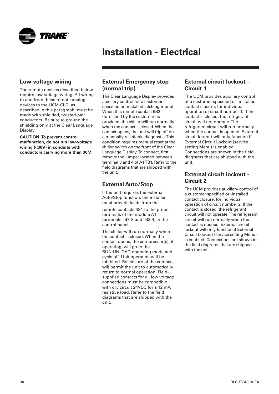<span id="page-29-0"></span>

### **Low-voltage wiring**

The remote devices described below require low-voltage wiring. All wiring to and from these remote analog devices to the UCM-CLD, as described in this paragraph, must be made with shielded, twisted-pair conductors. Be sure to ground the shielding only at the Clear Language Display.

**CAUTION! To prevent control malfunction, do not run low-voltage wiring (<30V) in conduits with conductors carrying more than 30 V.**

### **External Emergency stop (normal trip)**

The Clear Language Display provides auxiliary control for a customerspecified or -installed latching tripout. When this remote contact 6S2 (furnished by the customer) is provided, the chiller will run normally when the contact is closed. When the contact opens, the unit will trip off on a manually resettable diagnostic. This condition requires manual reset at the chiller switch on the front of the Clear Language Display. To connect, first remove the jumper located between terminal 3 and 4 of A1 TB1. Refer to the field diagrams that are shipped with the unit.

## **External Auto/Stop**

If the unit requires the external Auto/Stop function, the installer must provide leads from the

remote contacts 6S1 to the proper terminals of the module A1 terminals TB3-3 and TB3-4, in the control panel.

The chiller will run normally when the contact is closed. When the contact opens, the compressor(s), if operating, will go to the RUN:UNLOAD operating mode and cycle off. Unit operation will be inhibited. Re-closure of the contacts will permit the unit to automatically return to normal operation. Fieldsupplied contacts for all low voltage connections must be compatible with dry circuit 24VDC for a 12 mA resistive load. Refer to the field diagrams that are shipped with the unit.

### **External circuit lockout - Circuit 1**

The UCM provides auxiliary control of a customer-specified or -installed contact closure, for individual operation of circuit number 1. If the contact is closed, the refrigerant circuit will not operate. The refrigerant circuit will run normally when the contact is opened. External circuit lockout will only function if External Circuit Lockout (service setting Menu) is enabled. Connections are shown in the field diagrams that are shipped with the unit.

## **External circuit lockout - Circuit 2**

The UCM provides auxiliary control of a customer-specified or -installed contact closure, for individual operation of circuit number 2. If the contact is closed, the refrigerant circuit will not operate. The refrigerant circuit will run normally when the contact is opened. External circuit lockout will only function if External Circuit Lockout (service setting Menu) is enabled. Connections are shown in the field diagrams that are shipped with the unit.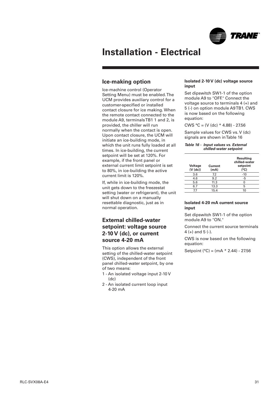

### <span id="page-30-0"></span>**Ice-making option**

Ice-machine control (Operator Setting Menu) must be enabled. The UCM provides auxiliary control for a customer-specified or installed contact closure for ice making. When the remote contact connected to the module A9, terminals TB1 1 and 2, is provided, the chiller will run normally when the contact is open. Upon contact closure, the UCM will initiate an ice-building mode, in which the unit runs fully loaded at all times. In ice-building, the current setpoint will be set at 120%. For example, if the front panel or external current limit setpoint is set to 80%, in ice-building the active current limit is 120%.

If, while in ice-building mode, the unit gets down to the freezestat setting (water or refrigerant), the unit will shut down on a manually resettable diagnostic, just as in normal operation.

### **External chilled-water setpoint: voltage source 2-10 V (dc), or current source 4-20 mA**

This option allows the external setting of the chilled-water setpoint (CWS), independent of the front panel chilled-water setpoint, by one of two means:

- 1 An isolated voltage input 2-10 V (dc)
- 2 An isolated current loop input 4-20 mA

#### **Isolated 2-10 V (dc) voltage source input**

Set dipswitch SW1-1 of the option module A9 to "OFF." Connect the voltage source to terminals 4 (+) and 5 (-) on option module A9 TB1. CWS is now based on the following equation:

CWS  $^{\circ}$ C = (V (dc) \* 4.88) - 27.56

Sample values for CWS vs. V (dc) signals are shown in Table 16

#### **Table 16 - Input values vs. External chilled-water setpoint**

| Voltage<br>$(V$ $(dc)$ | <b>Current</b><br>(mA) | <b>Resulting</b><br>chilled-water<br>setpoint<br>(°C) |
|------------------------|------------------------|-------------------------------------------------------|
| 3.6                    | 7.2                    | $-10$                                                 |
| 4.6                    | 9.2                    | -5                                                    |
| 5.6                    | 11.3                   |                                                       |
| 6.7                    | 13.3                   | 5                                                     |
| 7.7                    | 15.4                   | 10                                                    |

#### **Isolated 4-20 mA current source input**

Set dipswitch SW1-1 of the option module A9 to "ON."

Connect the current source terminals 4 (+) and  $5$  (-).

CWS is now based on the following equation:

Setpoint ( $^{\circ}$ C) = (mA  $*$  2.44) - 27.56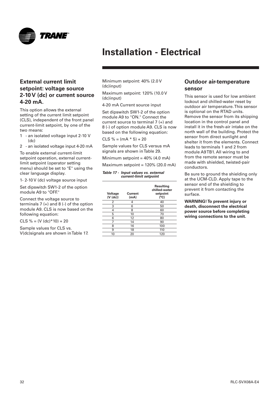<span id="page-31-0"></span>

## **External current limit setpoint: voltage source 2-10 V (dc) or current source 4-20 mA.**

This option allows the external setting of the current limit setpoint (CLS), independent of the front panel current-limit setpoint, by one of the two means:

- 1 an isolated voltage input 2-10 V (dc)
- 2 an isolated voltage input 4-20 mA

To enable external current-limit setpoint operation, external currentlimit setpoint (operator setting menu) should be set to "E" using the clear language display.

1- 2-10 V (dc) voltage source input

Set dipswitch SW1-2 of the option module A9 to "OFF."

Connect the voltage source to terminals  $7 (+)$  and  $8 (-)$  of the option module A9. CLS is now based on the following equation:

 $CLS % = (V (dc)*10) + 20$ 

Sample values for CLS vs. V(dc)signals are shown in Table 17. Minimum setpoint: 40% (2.0 V (dc)input)

Maximum setpoint: 120% (10.0 V (dc)input)

4-20 mA Current source input

Set dipswitch SW1-2 of the option module A9 to "ON." Connect the current source to terminal 7 (+) and 8 (-) of option module A9. CLS is now based on the following equation:

 $CLS % = (mA * 5) + 20$ 

Sample values for CLS versus mA signals are shown in Table 29.

Minimum setpoint =  $40\%$  (4.0 mA)

Maximum setpoint = 120% (20.0 mA)

#### **Table 17 - Input values vs. external current-limit setpoint**

| Voltage<br>$(V$ $(dc)$ | Current<br>(mA) | <b>Resulting</b><br>chilled-water<br>setpoint<br>(°C) |
|------------------------|-----------------|-------------------------------------------------------|
| 2                      | 4               | 40                                                    |
| 3                      | 6               | 50                                                    |
| 4                      | 8               | 60                                                    |
| 5                      | 10              | 70                                                    |
| 6                      | 12              | 80                                                    |
| 7                      | 14              | 90                                                    |
| 8                      | 16              | 100                                                   |
| 9                      | 18              | 110                                                   |
| 10                     | 20              | 120                                                   |
|                        |                 |                                                       |

### **Outdoor air-temperature sensor**

This sensor is used for low ambient lockout and chilled-water reset by outdoor air temperature. This sensor is optional on the RTAD units. Remove the sensor from its shipping location in the control panel and install it in the fresh-air intake on the north wall of the building. Protect the sensor from direct sunlight and shelter it from the elements. Connect leads to terminals 1 and 2 from module A9 TB1. All wiring to and from the remote sensor must be made with shielded, twisted-pair conductors.

Be sure to ground the shielding only at the UCM-CLD. Apply tape to the sensor end of the shielding to prevent it from contacting the surface.

**WARNING! To prevent injury or death, disconnect the electrical power source before completing wiring connections to the unit.**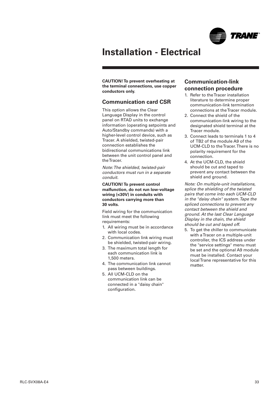

<span id="page-32-0"></span>**CAUTION! To prevent overheating at the terminal connections, use copper conductors only.**

### **Communication card CSR**

This option allows the Clear Language Display in the control panel on RTAD units to exchange information (operating setpoints and Auto/Standby commands) with a higher-level control device, such as Tracer. A shielded, twisted-pair connection establishes the bidirectional communications link between the unit control panel and the Tracer.

Note: The shielded, twisted-pair conductors must run in a separate conduit.

**CAUTION! To prevent control malfunction, do not run low-voltage wiring (<30V) in conduits with conductors carrying more than 30 volts.**

Field wiring for the communication link must meet the following requirements:

- 1. All wiring must be in accordance with local codes.
- 2. Communication link wiring must be shielded, twisted-pair wiring.
- 3. The maximum total length for each communication link is 1,500 meters.
- 4. The communication link cannot pass between buildings.
- 5. All UCM-CLD on the communication link can be connected in a "daisy chain" configuration.

### **Communication-link connection procedure**

- 1. Refer to the Tracer installation literature to determine proper communication-link termination connections at the Tracer module.
- 2. Connect the shield of the communication-link wiring to the designated shield terminal at the Tracer module.
- 3. Connect leads to terminals 1 to 4 of TB2 of the module A9 of the UCM-CLD to the Tracer. There is no polarity requirement for the connection.
- 4. At the UCM-CLD, the shield should be cut and taped to prevent any contact between the shield and ground.

Note: On multiple-unit installations, splice the shielding of the twisted pairs that come into each UCM-CLD in the "daisy chain" system. Tape the spliced connections to prevent any contact between the shield and ground. At the last Clear Language Display in the chain, the shield should be cut and taped off.

5. To get the chiller to communicate with a Tracer on a multiple-unit controller, the ICS address under the "service settings" menu must be set and the optional A9 module must be installed. Contact your local Trane representative for this matter.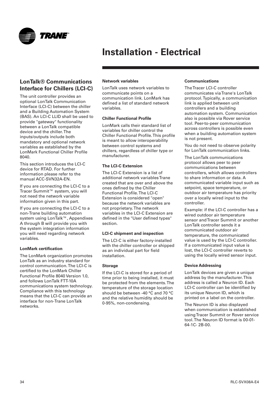<span id="page-33-0"></span>

## **LonTalk® Communications Interface for Chillers (LCI-C)**

The unit controller provides an optional LonTalk Communication Interface (LCI-C) between the chiller and a Building Automation System (BAS). An LCI-C LLID shall be used to provide "gateway" functionality between a LonTalk compatible device and the chiller. The inputs/outputs include both mandatory and optional network variables as established by the LonMark Functional Chiller Profile 8040.

This section introduces the LCI-C device for RTAD. For further information please refer to the manual ACC-SVN32A-EN.

If you are connecting the LCI-C to a Tracer Summit™ system, you will not need the network variable information given in this part.

If you are connecting the LCI-C to a non-Trane building automation system using LonTalk™, Appendixes A through B will provide you with the system integration information you will need regarding network variables.

#### **LonMark certification**

The LonMark organization promotes LonTalk as an industry standard for control communication. The LCI-C is certified to the LonMark Chiller Functional Profile 8040 Version 1.0, and follows LonTalk FTT-10A communications system technology. Compliance with this technology means that the LCI-C can provide an interface for non-Trane LonTalk networks.

#### **Network variables**

LonTalk uses network variables to communicate points on a communication link. LonMark has defined a list of standard network variables.

#### **Chiller Functional Profile**

LonMark calls their standard list of variables for chiller control the Chiller Functional Profile. This profile is meant to allow interoperability between control systems and chillers, regardless of chiller type or manufacturer.

#### **The LCI-C Extension**

The LCI-C Extension is a list of additional network variables Trane created that are over and above the ones defined by the Chiller Functional Profile. The LCI-C Extension is considered "open" because the network variables are not proprietary. The network variables in the LCI-C Extension are defined in the "User defined types" section.

#### **LCI-C shipment and inspection**

The LCI-C is either factory-installed with the chiller controller or shipped as an individual part for field installation.

#### **Storage**

If the LCI-C is stored for a period of time prior to being installed, it must be protected from the elements. The temperature of the storage location should be between -40 °C and 70 °C and the relative humidity should be 0-95%, non-condensing.

#### **Communications**

The Tracer LCI-C controller communicates via Trane's LonTalk protocol. Typically, a communication link is applied between unit controllers and a building automation system. Communication also is possible via Rover service tool. Peer-to-peer communication across controllers is possible even when a building automation system is not present.

You do not need to observe polarity for LonTalk communication links.

The LonTalk communications protocol allows peer to peer communications between controllers, which allows controllers to share information or data. A communicated variable input such as setpoint, space temperature, or outdoor air temperature has priority over a locally wired input to the controller.

Example: if the LCI-C controller has a wired outdoor air temperature sensor and Tracer Summit or another LonTalk controller sends it a communicated outdoor air temperature, the communicated value is used by the LCI-C controller. If a communicated input value is lost, the LCI-C controller reverts to using the locally wired sensor input.

#### **Device Addressing**

LonTalk devices are given a unique address by the manufacturer. This address is called a Neuron ID. Each LCI-C controller can be identified by its unique Neuron ID, which is printed on a label on the controller.

The Neuron ID is also displayed when communication is established using Tracer Summit or Rover service tool. The Neuron ID format is 00-01- 64-1C- 2B-00.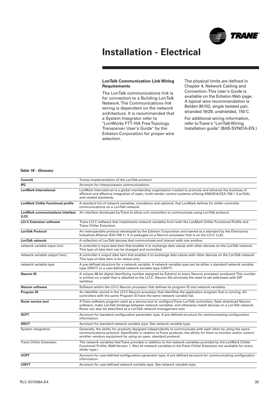

#### **LonTalk Communication Link Wiring Requirements**

The LonTalk communications link is for connection to a Building LonTalk Network. The Communications link wiring is dependent on the network architecture. It is recommended that a System Integrator refer to "LonWorks FTT-10A Free Topology Transceiver User's Guide" by the Echelon Corporation for proper wire selection.

The physical limits are defined in Chapter 4, Network Cabling and Connection. This User's Guide is available on the Echelon Web page. A typical wire recommendation is Belden 85102, single twisted pair, stranded 19/29, unshielded, 150 C.

For additional wiring information, refer to Trane's "LonTalk Wiring Installation guide" (BAS-SVN01A-EN.)

#### **Table 18 - Glossary**

| Comm <sub>5</sub>                                | Tranes implementation of the LonTalk protocol.                                                                                                                                                                                                                                                       |
|--------------------------------------------------|------------------------------------------------------------------------------------------------------------------------------------------------------------------------------------------------------------------------------------------------------------------------------------------------------|
| <b>IPC</b>                                       | Acronym for interprocessor communications.                                                                                                                                                                                                                                                           |
| <b>LonMark International</b>                     | LonMark International is a global membership organization created to promote and advance the business of<br>efficient and effective integration of open, multi-vendor control systems utilizing ANSI/EIA/CEA 709.1 (LonTalk)<br>and related standards.                                               |
| <b>LonMark Chiller Functional profile</b>        | A standard list of network variables, mandatory and optional, that LonMark defines for chiller controller<br>communications on a LonTalk network.                                                                                                                                                    |
| <b>LonMark communications interface</b><br>(LCI) | An interface developed by Trane to allow unit controllers to communicate using LonTalk protocol.                                                                                                                                                                                                     |
| <b>LCI-C Extension software</b>                  | Trane LCI-C software that implements network variables from both the LonMark Chiller Functional Profile and<br>Trane Chiller Extension.                                                                                                                                                              |
| <b>LonTalk Protocol</b>                          | An interoperable protocol developed by the Echelon Corporation and named as a standard by the Electronics<br>Industries Alliance (EIA-709.1). It is packaged on a Neuron processor that is on the LCI-C LLID.                                                                                        |
| LonTalk network                                  | A collection of LonTalk devices that communicate and interact with one another.                                                                                                                                                                                                                      |
| network variable input (nvi)                     | A controller's input data item that enables it to exchange data values with other devices on the LonTalk network.<br>This type of data item can be changed and controlled.                                                                                                                           |
| network variable output (nvo)                    | A controller's output data item that enables it to exchange data values with other devices on the LonTalk network.<br>This type of data item is for status only.                                                                                                                                     |
| network variable type                            | A pre-defined structure for a network variable. A network variable type can be either a standard network variable<br>type (SNVT) or a user-defined network variable type (UNVT).                                                                                                                     |
| <b>Neuron ID</b>                                 | A unique 48-bit digital identifying number assigned by Echelon to every Neuron processor produced. This number<br>is printed on a label that is attached to the LCI-C. Neuron IDs eliminate the need to set addresses with DIP<br>switches.                                                          |
| Neuron software                                  | Software within the LCI-C Neuron processor that defines its program ID and network variables.                                                                                                                                                                                                        |
| Program ID                                       | An identifier stored in the LCI-C Neuron processor that identifies the application program that is running. All<br>controllers with the same Program ID have the same network variable list.                                                                                                         |
| <b>Rover service tool</b>                        | A Trane software program used as a service tool to configure Trane LonTalk controllers, flash download Neuron<br>software, make LonTalk bindings between network variables, and otherwise install devices on a LonTalk network.<br>Rover can also be described as a LonTalk network management tool. |
| <b>SCPT</b>                                      | Acronym for standard configuration parameter type. A pre-defined structure for communicating configuration<br>information.                                                                                                                                                                           |
| <b>SNVT</b>                                      | Acronym for standard network variable type. See network variable type.                                                                                                                                                                                                                               |
| System integration                               | Generally, the ability for products designed independently to communicate with each other by using the same<br>communications protocol. Specifically in relation to Trane products, the ability for them to monitor and/or control<br>another vendors equipment by using an open, standard protocol. |
| <b>Trane Chiller Extension</b>                   | The network variables that Trane provides in addition to the network variables provided by the LonMark Chiller<br>Functional Profile, 8040 Version 1. (Not all network variables in the Trane Chiller Extension are available for every<br>chiller type.)                                            |
| <b>UCPT</b>                                      | Acronym for user-defined configuration parameter type. A pre-defined structure for communicating configuration<br>information.                                                                                                                                                                       |
| <b>UNVT</b>                                      | Acronym for user-defined network variable type. See network variable type.                                                                                                                                                                                                                           |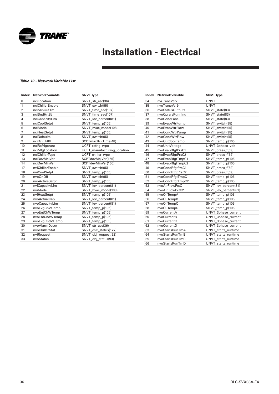

#### **Table 19 - Network Variable List**

| Index          | <b>Network Variable</b> | <b>SNVT Type</b>                  |
|----------------|-------------------------|-----------------------------------|
| 0              | nciLocation             | SNVT str asc(36)                  |
| 1              | nciChillerEnable        | SNVT switch(95)                   |
| $\overline{2}$ | nciMinOutTm             | SNVT time sec(107)                |
| 3              | nciSndHrtBt             | SNVT time sec(107)                |
| 4              | nciCapacityLim          | SNVT_lev_percent(81)              |
| 5              | nciCoolSetpt            | SNVT temp p(105)                  |
| 6              | nciMode                 | SNVT_hvac_mode(108)               |
| $\overline{7}$ | nciHeatSetpt            | SNVT_temp_p(105)                  |
| 8              | nciDefaults             | SNVT switch(95)                   |
| 9              | nciRcvHrtBt             | SCPTmaxRcvTime(48)                |
| 10             | nciRefrigerant          | UCPT_refrig_type                  |
| 11             | nciMfgLocation          | UCPT_manufacturing_location       |
| 12             | nciChillerType          | UCPT chiller type                 |
| 13             | nciDevMajVer            | SCPTdevMajVer(165)                |
| 14             | nciDevMinVer            | SCPTdevMinVer(166)                |
| 17             | nviChillerEnable        | SNVT switch(95)                   |
| 18             | nviCoolSetpt            | SNVT_temp_p(105)                  |
| 19             | nvoOnOff                | SNVT switch(95)                   |
| 20             | nvoActiveSetpt          | SNVT_temp_p(105)                  |
| 21             | nviCapacityLim          | SNVT lev percent(81)              |
| 22             | nviMode                 | SNVT_hvac_mode(108)               |
| 23             | nviHeatSetpt            | SNVT_temp_p(105)                  |
| 24             | nvoActualCap            | SNVT_lev_percent(81)              |
| 25             | nvoCapacityLim          | SNVT_lev_percent(81)              |
| 26             | nvoLvgChWTemp           | SNVT_temp_p(105)                  |
| 27             | nvoEntChWTemp           | $\overline{S N} V T_t$ emp_p(105) |
| 28             | nvoEntCndWTemp          | SNVT_temp_p(105)                  |
| 29             | nvoLvgCndWTemp          | SNVT_temp_p(105)                  |
| 30             | nvoAlarmDescr           | SNVT_str_asc(36)                  |
| 31             | nvoChillerStat          | SNVT_chlr_status(127)             |
| 32             | nviRequest              | SNVT obj request(92)              |
| 33             | nvoStatus               | SNVT_obj_status(93)               |

| Index | <b>Network Variable</b> | <b>SNVT Type</b>     |
|-------|-------------------------|----------------------|
| 34    | nviTraneVar2            | <b>UNVT</b>          |
| 35    | nvoTraneVar9            | <b>UNVT</b>          |
| 36    | nvoStatusOutputs        | SNVT state(83)       |
| 37    | nvoCprsrsRunning        | SNVT state(83)       |
| 38    | nvoCondFans             | SNVT state(83)       |
| 39    | nvoEvapWtrPump          | SNVT switch(95)      |
| 40    | nvoEvapWtrFlow          | SNVT switch(95)      |
| 41    | nvoCondWtrPump          | SNVT switch(95)      |
| 42    | nvoCondWtrFlow          | SNVT switch(95)      |
| 43    | nvoOutdoorTemp          | SNVT_temp_p(105)     |
| 44    | nvoUnitVoltage          | UNVT 3phase volt     |
| 45    | nvoEvapRfgtPrsC1        | SNVT_press_f(59)     |
| 46    | nvoEvapRfgtPrsC2        | SNVT_press_f(59)     |
| 47    | nvoEvapRfgtTmpC1        | SNVT_temp_p(105)     |
| 48    | nvoEvapRfgtTmpC2        | SNVT temp p(105)     |
| 49    | nvoCondRfgtPrsC1        | SNVT_press_f(59)     |
| 50    | nvoCondRfgtPrsC2        | SNVT_press_f(59)     |
| 51    | nvoCondRfgtTmpC1        | SNVT_temp_p(105)     |
| 52    | nvoCondRfgtTmpC2        | SNVT_temp_p(105)     |
| 53    | nvoAirFlowPctC1         | SNVT_lev_percent(81) |
| 54    | nvoAirFlowPctC2         | SNVT lev percent(81) |
| 55    | nvoOilTempA             | SNVT_temp_p(105)     |
| 56    | nvoOilTempB             | SNVT_temp_p(105)     |
| 57    | nvoOilTempC             | SNVT_temp_p(105)     |
| 58    | nvoOilTempD             | SNVT_temp_p(105)     |
| 59    | nvoCurrentA             | UNVT_3phase_current  |
| 60    | nvoCurrentB             | UNVT 3phase current  |
| 61    | nvoCurrentC             | UNVT_3phase_current  |
| 62    | nvoCurrentD             | UNVT_3phase_current  |
| 63    | nvoStartsRunTmA         | UNVT_starts_runtime  |
| 64    | nvoStartsRunTmB         | UNVT starts runtime  |
| 65    | nvoStartsRunTmC         | UNVT starts runtime  |
| 66    | nvoStartsRunTmD         | UNVT_starts_runtime  |

and the control  $\mathcal{L}^{\mathcal{L}}$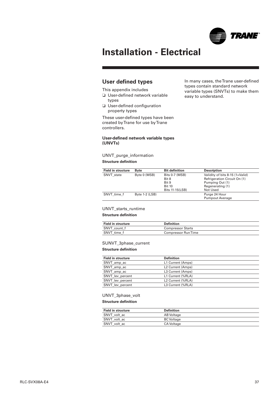

In many cases, the Trane user-defined types contain standard network variable types (SNVTs) to make them

easy to understand.

## **Installation - Electrical**

### **User defined types**

This appendix includes

- ❏ User-defined network variable types
- ❏ User-defined configuration property types

These user-defined types have been created by Trane for use by Trane controllers.

#### **User-defined network variable types (UNVTs)**

UNVT\_purge\_information

#### **Structure definition**

| <b>Field in structure</b> | <b>B</b> vte     | <b>Bit definition</b> | <b>Description</b>              |
|---------------------------|------------------|-----------------------|---------------------------------|
| SNVT state                | Byte 0 (MSB)     | Bits 0-7 (MSB)        | Validity of bits 8-15 (1=Valid) |
|                           |                  | Bit 8                 | Refrigeration Circuit On (1)    |
|                           |                  | Bit 9                 | Pumping Out (1)                 |
|                           |                  | <b>Bit 10</b>         | Regenerating (1)                |
|                           |                  | Bits 11-15(LSB)       | Not Used                        |
| SNVT time f               | Byte $1-2$ (LSB) |                       | Purge 24 Hour                   |
|                           |                  |                       | <b>Pumpout Average</b>          |

#### UNVT starts\_runtime

#### **Structure definition**

| <b>Field in structure</b> | Definition                |  |
|---------------------------|---------------------------|--|
| SNVT count f              | <b>Compressor Starts</b>  |  |
| SNVT time f               | <b>Compressor RunTime</b> |  |

#### SUNVT\_3phase\_current

#### **Structure definition**

| <b>Field in structure</b> | <b>Definition</b>             |
|---------------------------|-------------------------------|
| SNVT_amp_ac               | L1 Current (Amps)             |
| SNVT_amp_ac               | L <sub>2</sub> Current (Amps) |
| SNVT amp ac               | L3 Current (Amps)             |
| SNVT lev percent          | L1 Current (%RLA)             |
| SNVT lev percent          | L2 Current (%RLA)             |
| SNVT lev percent          | L3 Current (%RLA)             |

#### UNVT\_3phase\_volt

#### **Structure definition**

| <b>Field in structure</b> | <b>Definition</b> |  |
|---------------------------|-------------------|--|
| SNVT volt ac              | AB Voltage        |  |
| SNVT volt ac              | <b>BC</b> Voltage |  |
| SNVT volt ac              | <b>CA Voltage</b> |  |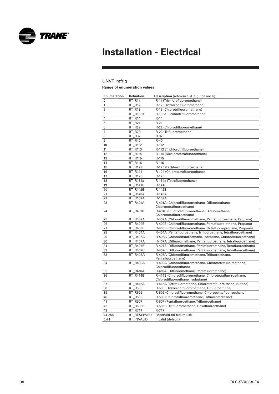

### UNVT\_refrig **Range of enumeration values**

| <b>Enumeration</b><br>0 | <b>Definition</b><br><b>RT R11</b> | Description (reference: ARI guideline K)                                   |
|-------------------------|------------------------------------|----------------------------------------------------------------------------|
| 1                       |                                    | R-11 (Trichlorofluoromethane)<br>R-12 (Dichlorodifluoromethane)            |
| $\overline{2}$          | <b>RT R12</b><br><b>RT R13</b>     | R-13 (Chlorotrifluoromethane)                                              |
| 3                       | RT_R13B1                           | R-13B1 (Bromotrifluoromethane)                                             |
|                         |                                    | $R-14$                                                                     |
| 4                       | <b>RT R14</b>                      | $R-21$                                                                     |
| 5                       | RT R21<br><b>RT R22</b>            | R-22 (Chlorodifluoromethane)                                               |
| 6                       |                                    |                                                                            |
| 7                       | RT_R23                             | R-23 (Trifluoromethane)                                                    |
| 8                       | <b>RT R32</b>                      | $R-32$                                                                     |
| 9                       | RT_R40                             | $R-40$                                                                     |
| 10                      | <b>RT R112</b>                     | R-112                                                                      |
| 11                      | RT R113                            | R-113 (Trichlorotrifluoroethane)                                           |
| 12                      | RT_R114                            | R-114 (Dichlorotetrafluoroethane)                                          |
| 13                      | RT R115                            | R-115                                                                      |
| 14                      | <b>RT R116</b>                     | R-116                                                                      |
| 15                      | RT_R123                            | R-123 (Dichlorotrifluoroethane)                                            |
| 16                      | RT R124                            | R-124 (Chlorotetrafluoroethane)                                            |
| 17                      | RT R125                            | R-125                                                                      |
| 18                      | RT_R134a                           | R-134a (Tetrafluoroethane)                                                 |
| 19                      | <b>RT R141B</b>                    | R-141B                                                                     |
| 20                      | <b>RT R142B</b>                    | R-142B                                                                     |
| 21                      | <b>RT R143A</b>                    | R-143A                                                                     |
| 22                      | <b>RT R152A</b>                    | R-152A                                                                     |
| 23                      | <b>RT R401A</b>                    | R-401A (Chlorodifluoromethane, Difluoroethane,<br>Chlorotetrafluoroethane) |
| 24                      | RT_R401B                           | R-401B (Chlorodifluoromethane, Difluoroethane,<br>Chlorotetrafluoroethane) |
| 25                      | RT_R402A                           | R-402A (Chlorodifluoromethane, Pentafluoro-ethane, Propane)                |
| 26                      | RT_R402B                           | R-402B (Chlorodifluoromethane, Pentafluoro-ethane, Propane)                |
| 27                      | RT_R403B                           | R-403B (Chlorodifluoromethane, Octafluoro-propane, Propane)                |
| 28                      | <b>RT R404A</b>                    | R-404A (Pentafluoroethane, Trifluoroethane, Tetrafluoroethane)             |
| 29                      | <b>RT R406A</b>                    | R-406A (Chlorodifluoroethane, Isobutane, Chlorodifluoroethane)             |
| 30                      | <b>RT R407A</b>                    | R-407A (Difluoromethane, Pentafluoroethane, Tetrafluoroethane)             |
| 31                      | <b>RT R407B</b>                    | R-407B (Difluoromethane, Pentafluoroethane, Tetrafluoroethane)             |
| 32                      | <b>RT R407C</b>                    | R-407C (Difluoromethane, Pentafluoroethane, Tetrafluoroethane)             |
| 33                      | RT_R408A                           | R-408A (Chlorodifluoromethane, Trifluoroethane,                            |
|                         |                                    | Pentafluoroethane)                                                         |
| 34                      | RT_R409A                           | R-409A (Chlorodifluoromethane, Chlorotetrafluo-roethane,                   |
| 35                      | <b>RT R410A</b>                    | Chlorodifluoroethane)<br>R-410A (Difluoromethane, Pentafluoroethane)       |
| 36                      | RT_R414B                           | R-414B (Chlorodifluoromethane, Chlorotetrafluo-roethane,                   |
|                         |                                    | Chlorodifluoroethane, Isobutane)                                           |
| 37                      | RT_R416A                           | R-416A (Tetrafluoroethane, Chlorotetrafluore-thane, Butane)                |
| 38                      | RT_R500                            | R-500 (Dichlorodifluoromethane, Difluoroethane)                            |
| 39                      | <b>RT R502</b>                     | R-502 (Chlorodifluoromethane, Chloropentafluo-roethane)                    |
| 40                      | RT_R503                            | R-503 (Chlorotrifluoromethane, Trifluoromethane)                           |
| 41                      | <b>RT R507</b>                     | R-507 (Pentafluoroethane, Trifluoroethane)                                 |
| 42                      | <b>RT R508B</b>                    | R-508B (Trifluoromethane, Hexafluoroethane)                                |
| 43                      | <b>RT R717</b>                     | R-717                                                                      |
| 44-254                  | <b>RT RESERVED</b>                 | Reserved for future use                                                    |
| 0xFF                    | RT INVALID                         | Invalid (default)                                                          |

÷,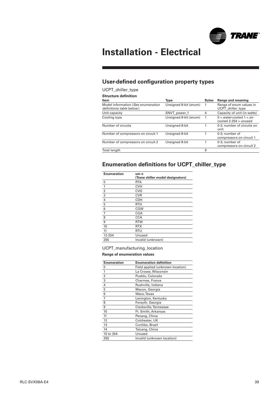

## **User-defined configuration property types**

#### UCPT\_chiller\_type

**Structure definition**

| -------------------                                             |                       |              |                                                       |
|-----------------------------------------------------------------|-----------------------|--------------|-------------------------------------------------------|
| Item                                                            | Type                  | <b>Bytes</b> | Range and meaning                                     |
| Model information (See enumeration<br>definitions table below.) | Unsigned 8-bit (enum) | 1            | Range of enum values in<br>UCPT chiller type          |
| Unit capacity                                                   | SNVT power f          | 4            | Capacity of unit (in watts)                           |
| Cooling type                                                    | Unsigned 8-bit (enum) |              | $0 = water-cooled 1 = air$<br>cooled $2-254$ = unused |
| Number of circuits                                              | Unsigned 8-bit        |              | 0-2; number of circuits on<br>unit                    |
| Number of compressors on circuit 1                              | Unsigned 8-bit        |              | 0-3: number of<br>compressors on circuit 1            |
| Number of compressors on circuit 2                              | Unsigned 8-bit        |              | 0-3; number of<br>compressors on circuit 2            |
| Total length                                                    |                       | 9            |                                                       |
|                                                                 |                       |              |                                                       |

## **Enumeration definitions for UCPT\_chiller\_type**

| <b>Enumeration</b> | um n<br>(Trane chiller model designators) |
|--------------------|-------------------------------------------|
| 0                  | <b>RTA</b>                                |
| 1                  | <b>CVH</b>                                |
| $\overline{2}$     | <b>CVG</b>                                |
| 3                  | <b>CVR</b>                                |
| 4                  | <b>CDH</b>                                |
| 5                  | <b>RTH</b>                                |
| 6                  | <b>CGW</b>                                |
| 7                  | <b>CGA</b>                                |
| 8                  | <b>CCA</b>                                |
| 9                  | <b>RTW</b>                                |
| 10                 | <b>RTX</b>                                |
| 11                 | RTU                                       |
| 12-254             | Unused                                    |
| 255                | Invalid (unknown)                         |

#### UCPT\_manufacturing\_location

#### **Range of enumeration values**

| <b>Enumeration</b> | <b>Enumeration definition</b>    |
|--------------------|----------------------------------|
| 0                  | Field applied (unknown location) |
| 1                  | La Crosse, Wisconsin             |
| $\overline{2}$     | Pueblo, Colorado                 |
| 3                  | Charmes, France                  |
| $\overline{4}$     | Rushville, Indiana               |
| 5                  | Macon, Georgia                   |
| 6                  | Waco, Texas                      |
| 7                  | Lexington, Kentucky              |
| 8                  | Forsyth, Georgia                 |
| 9                  | Clarksville, Tennessee           |
| 10                 | Ft. Smith, Arkansas              |
| 11                 | Penang, China                    |
| 12                 | Colchester, UK                   |
| 13                 | Curitiba, Brazil                 |
| 14                 | Taicang, China                   |
| 15 to 254          | Unused                           |
| 255                | Invalid (unknown location)       |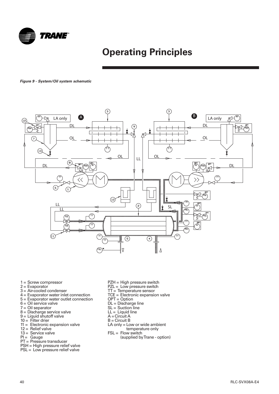<span id="page-39-0"></span>

## **Operating Principles**

**Figure 9 - System/Oil system schematic** 



- 1 = Screw compressor
- 2 = Evaporator
- 3 = Air-cooled condenser
- 4 = Evaporator water inlet connection
- 5 = Evaporator water outlet connection
- $6 =$  Oil service valve
- 7 = Oil separator
- 8 = Discharge service valve
- 9 = Liquid shutoff valve
- $10 =$  Filter drier
- $11 =$  Electronic expansion valve
- $12 =$  Relief valve
- $13 =$  Service valve
- $PI =$  Gauge
- 
- PT = Pressure transducer
- PSH = High pressure relief valve
- PSL = Low pressure relief valve
- PZH = High pressure switch
- PZL = Low pressure switch
- TT = Temperature sensor
- TCE = Electronic expansion valve
- OPT = Option
- DL = Discharge line
- SL = Suction line
- $LL =$  Liquid line
- $A = Circuit A$
- B = Circuit B
- LA only = Low or wide ambient
- temperature only
- $FSL = Flow switch$ 
	- (supplied by Trane option)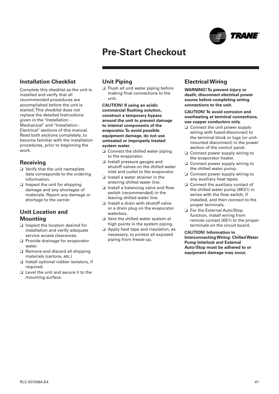

## <span id="page-40-0"></span>**Installation Checklist**

Complete this checklist as the unit is installed and verify that all recommended procedures are accomplished before the unit is started. This checklist does not replace the detailed Instructions given in the "Installation - Mechanical" and "Installation - Electrical" sections of this manual. Read both sections completely, to become familiar with the installation procedures, prior to beginning the work.

### **Receiving**

- ❏ Verify that the unit nameplate data corresponds to the ordering information.
- ❏ Inspect the unit for shipping damage and any shortages of materials. Report any damage or shortage to the carrier.

### **Unit Location and Mounting**

- ❏ Inspect the location desired for installation and verify adequate service access clearances.
- ❏ Provide drainage for evaporator water.
- ❏ Remove and discard all shipping materials (cartons, etc.)
- ❏ Install optional rubber isolators, if required.
- ❏ Level the unit and secure it to the mounting surface.

### **Unit Piping**

❏ Flush all unit water piping before making final connections to the unit.

**CAUTION! If using an acidic commercial flushing solution, construct a temporary bypass around the unit to prevent damage to internal components of the evaporator.To avoid possible equipment damage, do not use untreated or improperly treated system water.**

- ❏ Connect the chilled water piping to the evaporator.
- ❏ Install pressure gauges and shutoff valves on the chilled water inlet and outlet to the evaporator.
- ❏ Install a water strainer in the entering chilled water line.
- ❏ Install a balancing valve and flow switch (recommended) in the leaving chilled water line.
- ❏ Install a drain with shutoff valve or a drain plug on the evaporator waterbox.
- ❏ Vent the chilled water system at high points in the system piping.
- ❏ Apply heat tape and insulation, as necessary, to protect all exposed piping from freeze-up.

## **Electrical Wiring**

**WARNING! To prevent injury or death, disconnect electrical power source before completing wiring connections to the unit.**

#### **CAUTION! To avoid corrosion and overheating at terminal connections, use copper conductors only.**

- ❏ Connect the unit power supply wiring with fused-disconnect to the terminal block or lugs (or unitmounted disconnect) in the power section of the control panel.
- ❏ Connect power supply wiring to the evaporator heater.
- ❏ Connect power supply wiring to the chilled water pump.
- ❏ Connect power supply wiring to any auxiliary heat tapes.
- ❏ Connect the auxiliary contact of the chilled water pump (6K51) in series with the flow switch, if installed, and then connect to the proper terminals.
- ❏ For the External Auto/Stop function, install wiring from remote contact (6S1) to the proper terminals on the circuit board.

**CAUTION! Information in Interconnecting Wiring: Chilled Water Pump Interlock and External Auto/Stop must be adhered to or equipment damage may occur.**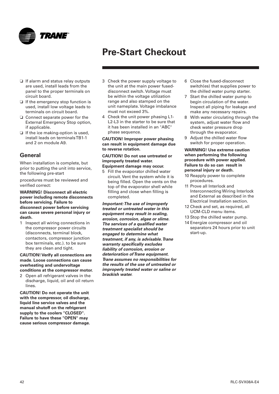<span id="page-41-0"></span>

- ❏ If alarm and status relay outputs are used, install leads from the panel to the proper terminals on circuit board.
- ❏ If the emergency stop function is used, install low voltage leads to terminals on circuit board.
- ❏ Connect separate power for the External Emergency Stop option, if applicable.
- ❏ If the ice making-option is used, install leads on terminals TB1-1 and 2 on module A9.

## **General**

When installation is complete, but prior to putting the unit into service, the following pre-start

procedures must be reviewed and verified correct:

**WARNING! Disconnect all electric power including remote disconnects before servicing. Failure to disconnect power before servicing can cause severe personal injury or death.**

1 Inspect all wiring connections in the compressor power circuits (disconnects, terminal block, contactors, compressor junction box terminals, etc.). to be sure they are clean and tight.

**CAUTION! Verify all connections are made. Loose connections can cause overheating and undervoltage conditions at the compressor motor.**

2 Open all refrigerant valves in the discharge, liquid, oil and oil return lines.

**CAUTION! Do not operate the unit with the compressor, oil discharge, liquid line service valves and the manual shutoff on the refrigerant supply to the coolers "CLOSED". Failure to have these "OPEN" may cause serious compressor damage.**

- 3 Check the power supply voltage to the unit at the main power fuseddisconnect switch. Voltage must be within the voltage utilization range and also stamped on the unit nameplate. Voltage imbalance must not exceed 3%.
- 4 Check the unit power phasing L1- L2-L3 in the starter to be sure that it has been installed in an "ABC" phase sequence.

**CAUTION! Improper power phasing can result in equipment damage due to reverse rotation.**

#### **CAUTION! Do not use untreated or improperly treated water. Equipment damage may occur.**

5 Fill the evaporator chilled water circuit. Vent the system while it is being filled. Open the vents on the top of the evaporator shell while filling and close when filling is completed.

**Important:The use of improperly treated or untreated water in this equipment may result in scaling, erosion, corrosion, algae or slime. The services of a qualified water treatment specialist should be engaged to determine what treatment, if any, is advisable.Trane warranty specifically excludes liability of corrosion, erosion or deterioration of Trane equipment. Trane assumes no responsibilities for the results of the use of untreated or improperly treated water or saline or brackish water.**

- 6 Close the fused-disconnect switch(es) that supplies power to the chilled water pump starter.
- 7 Start the chilled water pump to begin circulation of the water. Inspect all piping for leakage and make any necessary repairs.
- 8 With water circulating through the system, adjust water flow and check water pressure drop through the evaporator.
- 9 Adjust the chilled water flow switch for proper operation.

#### **WARNING! Use extreme caution when performing the following procedure with power applied. Failure to do so can result in personal injury or death.**

- 10 Reapply power to complete procedures.
- 11 Prove all Interlock and Interconnecting Wiring Interlock and External as described in the Electrical Installation section.
- 12 Check and set, as required, all UCM-CLD menu items.
- 13 Stop the chilled water pump.
- 14 Energize compressor and oil separators 24 hours prior to unit start-up.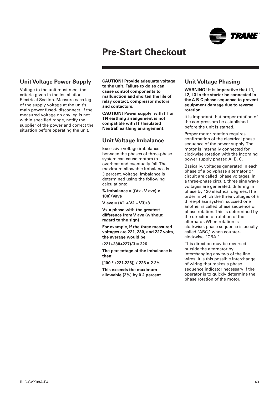

### <span id="page-42-0"></span>**Unit Voltage Power Supply**

Voltage to the unit must meet the criteria given in the Installation-Electrical Section. Measure each leg of the supply voltage at the unit's main power fused- disconnect. If the measured voltage on any leg is not within specified range, notify the supplier of the power and correct the situation before operating the unit.

**CAUTION! Provide adequate voltage to the unit. Failure to do so can cause control components to malfunction and shorten the life of relay contact, compressor motors and contactors.**

**CAUTION! Power supply with TT or TN earthing arrangement is not compatible with IT (Insulated Neutral) earthing arrangement.**

## **Unit Voltage Imbalance**

Excessive voltage imbalance between the phases of three-phase system can cause motors to overheat and eventually fail. The maximum allowable imbalance is 3 percent. Voltage imbalance is determined using the following calculations:

**% Imbalance = [(Vx - V ave) x 100]/Vave**

**V ave = (V1 + V2 + V3)/3**

**Vx = phase with the greatest difference from V ave (without regard to the sign)**

**For example, if the three measured voltages are 221, 230, and 227 volts, the average would be:**

**(221+230+227)/3 = 226**

**The percentage of the imbalance is then:**

**[100 \* (221-226)] / 226 = 2.2%**

**This exceeds the maximum allowable (2%) by 0.2 percent.**

### **Unit Voltage Phasing**

**WARNING! It is imperative that L1, L2, L3 in the starter be connected in the A-B-C phase sequence to prevent equipment damage due to reverse rotation.**

It is important that proper rotation of the compressors be established before the unit is started.

Proper motor rotation requires confirmation of the electrical phase sequence of the power supply. The motor is internally connected for clockwise rotation with the incoming power supply phased A, B, C.

Basically, voltages generated in each phase of a polyphase alternator or circuit are called phase voltages. In a three-phase circuit, three sine wave voltages are generated, differing in phase by 120 electrical degrees. The order in which the three voltages of a three-phase system succeed one another is called phase sequence or phase rotation. This is determined by the direction of rotation of the alternator. When rotation is clockwise, phase sequence is usually called "ABC," when counterclockwise, "CBA."

This direction may be reversed outside the alternator by interchanging any two of the line wires. It is this possible interchange of wiring that makes a phase sequence indicator necessary if the operator is to quickly determine the phase rotation of the motor.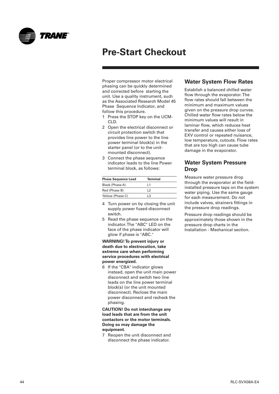<span id="page-43-0"></span>

Proper compressor motor electrical phasing can be quickly determined and corrected before starting the unit. Use a quality instrument, such as the Associated Research Model 45 Phase Sequence Indicator, and follow this procedure.

- 1 Press the STOP key on the UCM-CLD.
- 2 Open the electrical disconnect or circuit protection switch that provides line power to the line power terminal block(s) in the starter panel (or to the unitmounted disconnect).
- 3 Connect the phase sequence indicator leads to the line Power terminal block, as follows:

| <b>Phase Sequence Lead</b> | <b>Terminal</b> |
|----------------------------|-----------------|
| Black (Phase A)            | l 1             |
| Red (Phase B)              | 12              |
| Yellow (Phase C)           | 3 ا             |

- 4 Turn power on by closing the unit supply power fused-disconnect switch.
- 5 Read the phase sequence on the indicator. The "ABC" LED on the face of the phase indicator will glow if phase is "ABC."

**WARNING! To prevent injury or death due to electrocution, take extreme care when performing service procedures with electrical power energized.**

6 If the "CBA" indicator glows instead, open the unit main power disconnect and switch two line leads on the line power terminal block(s) (or the unit mounted disconnect). Reclose the main power disconnect and recheck the phasing.

**CAUTION! Do not interchange any load leads that are from the unit contactors or the motor terminals. Doing so may damage the equipment.**

7 Reopen the unit disconnect and disconnect the phase indicator.

## **Water System Flow Rates**

Establish a balanced chilled water flow through the evaporator. The flow rates should fall between the minimum and maximum values given on the pressure drop curves. Chilled water flow rates below the minimum values will result in laminar flow, which reduces heat transfer and causes either loss of EXV control or repeated nuisance, low temperature, cutouts. Flow rates that are too high can cause tube damage in the evaporator.

### **Water System Pressure Drop**

Measure water pressure drop through the evaporator at the fieldinstalled pressure taps on the system water piping. Use the same gauge for each measurement. Do not include valves, strainers fittings in the pressure drop readings.

Pressure drop readings should be approximately those shown in the pressure drop charts in the Installation - Mechanical section.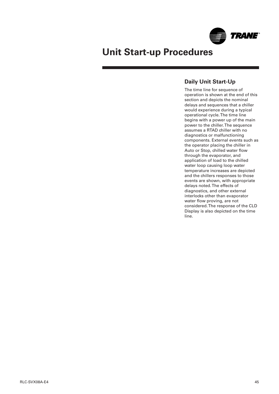

## <span id="page-44-0"></span>**Unit Start-up Procedures**

## **Daily Unit Start-Up**

The time line for sequence of operation is shown at the end of this section and depicts the nominal delays and sequences that a chiller would experience during a typical operational cycle. The time line begins with a power up of the main power to the chiller. The sequence assumes a RTAD chiller with no diagnostics or malfunctioning components. External events such as the operator placing the chiller in Auto or Stop, chilled water flow through the evaporator, and application of load to the chilled water loop causing loop water temperature increases are depicted and the chillers responses to those events are shown, with appropriate delays noted. The effects of diagnostics, and other external interlocks other than evaporator water flow proving, are not considered. The response of the CLD Display is also depicted on the time line.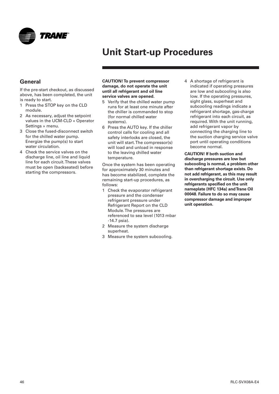<span id="page-45-0"></span>

## **Unit Start-up Procedures**

## **General**

If the pre-start checkout, as discussed above, has been completed, the unit is ready to start.

- 1 Press the STOP key on the CLD module.
- 2 As necessary, adjust the setpoint values in the UCM-CLD « Operator Settings » menu.
- 3 Close the fused-disconnect switch for the chilled water pump. Energize the pump(s) to start water circulation.
- 4 Check the service valves on the discharge line, oil line and liquid line for each circuit. These valves must be open (backseated) before starting the compressors.

#### **CAUTION! To prevent compressor damage, do not operate the unit until all refrigerant and oil line service valves are opened.**

- 5 Verify that the chilled water pump runs for at least one minute after the chiller is commanded to stop (for normal chilled water systems).
- 6 Press the AUTO key. If the chiller control calls for cooling and all safety interlocks are closed, the unit will start. The compressor(s) will load and unload in response to the leaving chilled water temperature.

Once the system has been operating for approximately 30 minutes and has become stabilized, complete the remaining start-up procedures, as follows:

- 1 Check the evaporator refrigerant pressure and the condenser refrigerant pressure under Refrigerant Report on the CLD Module. The pressures are referenced to sea level (1013 mbar -14.7 psia).
- 2 Measure the system discharge superheat.
- 3 Measure the system subcooling.

4 A shortage of refrigerant is indicated if operating pressures are low and subcooling is also low. If the operating pressures, sight glass, superheat and subcooling readings indicate a refrigerant shortage, gas-charge refrigerant into each circuit, as required. With the unit running, add refrigerant vapor by connecting the charging line to the suction charging service valve port until operating conditions become normal.

**CAUTION! If both suction and discharge pressures are low but subcooling is normal, a problem other than refrigerant shortage exists. Do not add refrigerant, as this may result in overcharging the circuit. Use only refrigerants specified on the unit nameplate (HFC 134a) and Trane Oil 00048. Failure to do so may cause compressor damage and improper unit operation.**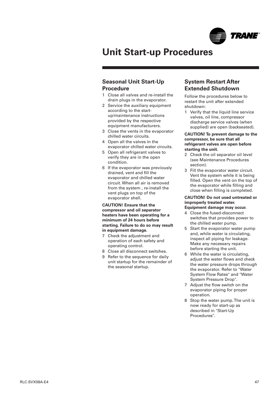

## <span id="page-46-0"></span>**Unit Start-up Procedures**

### **Seasonal Unit Start-Up Procedure**

- 1 Close all valves and re-install the drain plugs in the evaporator.
- 2 Service the auxiliary equipment according to the startup/maintenance instructions provided by the respective equipment manufacturers.
- 3 Close the vents in the evaporator chilled water circuits.
- 4 Open all the valves in the evaporator chilled water circuits.
- 5 Open all refrigerant valves to verify they are in the open condition.
- 6 If the evaporator was previously drained, vent and fill the evaporator and chilled water circuit. When all air is removed from the system , re-install the vent plugs on top of the evaporator shell.

**CAUTION! Ensure that the compressor and oil separator heaters have been operating for a minimum of 24 hours before starting. Failure to do so may result in equipment damage.**

- 7 Check the adjustment and operation of each safety and operating control.
- 8 Close all disconnect switches.
- 9 Refer to the sequence for daily unit startup for the remainder of the seasonal startup.

### **System Restart After Extended Shutdown**

Follow the procedures below to restart the unit after extended shutdown:

1 Verify that the liquid line service valves, oil line, compressor discharge service valves (when supplied) are open (backseated).

#### **CAUTION! To prevent damage to the compressor, be sure that all refrigerant valves are open before starting the unit.**

- 2 Check the oil separator oil level (see Maintenance Procedures section).
- 3 Fill the evaporator water circuit. Vent the system while it is being filled. Open the vent on the top of the evaporator while filling and close when filling is completed.

### **CAUTION! Do not used untreated or improperly treated water.**

**Equipment damage may occur.**

- 4 Close the fused-disconnect switches that provides power to the chilled water pump.
- 5 Start the evaporator water pump and, while water is circulating, inspect all piping for leakage. Make any necessary repairs before starting the unit.
- 6 While the water is circulating, adjust the water flows and check the water pressure drops through the evaporator. Refer to "Water System Flow Rates" and "Water System Pressure Drop".
- 7 Adjust the flow switch on the evaporator piping for proper operation.
- 8 Stop the water pump. The unit is now ready for start-up as described in "Start-Up Procedures".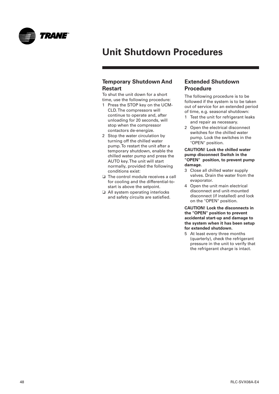<span id="page-47-0"></span>

## **Unit Shutdown Procedures**

### **Temporary Shutdown And Restart**

To shut the unit down for a short time, use the following procedure:

- 1 Press the STOP key on the UCM-CLD. The compressors will continue to operate and, after unloading for 20 seconds, will stop when the compressor contactors de-energize.
- 2 Stop the water circulation by turning off the chilled water pump. To restart the unit after a temporary shutdown, enable the chilled water pump and press the AUTO key. The unit will start normally, provided the following conditions exist:
- ❏ The control module receives a call for cooling and the differential-tostart is above the setpoint.
- ❏ All system operating interlocks and safety circuits are satisfied.

### **Extended Shutdown Procedure**

The following procedure is to be followed if the system is to be taken out of service for an extended period of time, e.g. seasonal shutdown:

- 1 Test the unit for refrigerant leaks and repair as necessary.
- 2 Open the electrical disconnect switches for the chilled water pump. Lock the switches in the "OPEN" position.

#### **CAUTION! Lock the chilled water pump disconnect Switch in the "OPEN" position, to prevent pump damage.**

- 3 Close all chilled water supply valves. Drain the water from the evaporator.
- 4 Open the unit main electrical disconnect and unit-mounted disconnect (if installed) and lock on the "OPEN" position.

**CAUTION! Lock the disconnects in the "OPEN" position to prevent accidental start-up and damage to the system when it has been setup for extended shutdown.**

5 At least every three months (quarterly), check the refrigerant pressure in the unit to verify that the refrigerant charge is intact.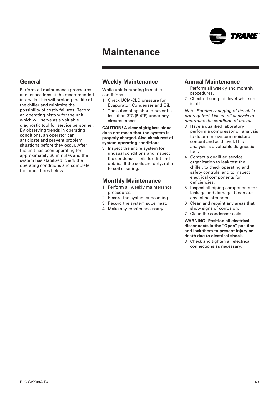## **Maintenance**

## <span id="page-48-0"></span>**General**

Perform all maintenance procedures and inspections at the recommended intervals. This will prolong the life of the chiller and minimize the possibility of costly failures. Record an operating history for the unit, which will serve as a valuable diagnostic tool for service personnel. By observing trends in operating conditions, an operator can anticipate and prevent problem situations before they occur. After the unit has been operating for approximately 30 minutes and the system has stabilized, check the operating conditions and complete the procedures below:

### **Weekly Maintenance**

While unit is running in stable conditions.

- 1 Check UCM-CLD pressure for Evaporator, Condenser and Oil.
- 2 The subcooling should never be less than 3°C (5.4°F) under any circumstances.

**CAUTION! A clear sightglass alone does not mean that the system is properly charged. Also check rest of system operating conditions.**

3 Inspect the entire system for unusual conditions and inspect the condenser coils for dirt and debris. If the coils are dirty, refer to coil cleaning.

#### **Monthly Maintenance**

- 1 Perform all weekly maintenance procedures.
- 2 Record the system subcooling.
- 3 Record the system superheat.
- 4 Make any repairs necessary.

### **Annual Maintenance**

- 1 Perform all weekly and monthly procedures.
- 2 Check oil sump oil level while unit is off.

Note: Routine changing of the oil is not required. Use an oil analysis to determine the condition of the oil.

- 3 Have a qualified laboratory perform a compressor oil analysis to determine system moisture content and acid level. This analysis is a valuable diagnostic tool.
- 4 Contact a qualified service organization to leak test the chiller, to check operating and safety controls, and to inspect electrical components for deficiencies.
- 5 Inspect all piping components for leakage and damage. Clean out any inline strainers.
- 6 Clean and repaint any areas that show signs of corrosion.
- 7 Clean the condenser coils.

**WARNING! Position all electrical disconnects in the "Open" position and lock them to prevent injury or death due to electrical shock.**

8 Check and tighten all electrical connections as necessary.

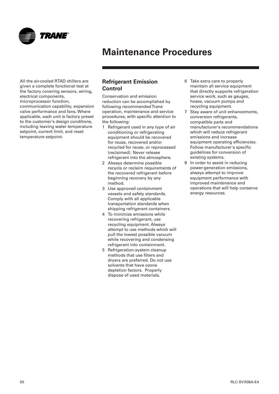<span id="page-49-0"></span>

All the air-cooled RTAD chillers are given a complete functional test at the factory covering sensors, wiring, electrical components, microprocessor function, communication capability, expansion valve performance and fans. Where applicable, each unit is factory preset to the customer's design conditions, including leaving water temperature setpoint, current limit, and reset temperature setpoint.

### **Refrigerant Emission Control**

Conservation and emission reduction can be accomplished by following recommended Trane operation, maintenance and service procedures, with specific attention to the following:

- 1 Refrigerant used in any type of air conditioning or refrigerating equipment should be recovered for reuse, recovered and/or recycled for reuse, or reprocessed (reclaimed). Never release refrigerant into the atmosphere.
- 2 Always determine possible recycle or reclaim requirements of the recovered refrigerant before beginning recovery by any method.
- 3 Use approved containment vessels and safety standards. Comply with all applicable transportation standards when shipping refrigerant containers.
- 4 To minimize emissions while recovering refrigerant, use recycling equipment. Always attempt to use methods which will pull the lowest possible vacuum while recovering and condensing refrigerant into containment.
- 5 Refrigeration-system cleanup methods that use filters and dryers are preferred. Do not use solvents that have ozone depletion factors. Properly dispose of used materials.
- 6 Take extra care to properly maintain all service equipment that directly supports refrigeration service work, such as gauges, hoses, vacuum pumps and recycling equipment.
- 7 Stay aware of unit enhancements, conversion refrigerants, compatible parts and manufacturer's recommendations which will reduce refrigerant emissions and increase equipment operating efficiencies. Follow manufacturer's specific guidelines for conversion of existing systems.
- 8 In order to assist in reducing power-generation emissions, always attempt to improve equipment performance with improved maintenance and operations that will help conserve energy resources.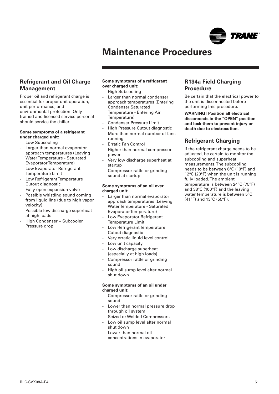

### <span id="page-50-0"></span>**Refrigerant and Oil Charge Management**

Proper oil and refrigerant charge is essential for proper unit operation, unit performance, and environmental protection. Only trained and licensed service personal should service the chiller.

#### **Some symptoms of a refrigerant under charged unit:**

- Low Subcooling
- Larger than normal evaporator approach temperatures (Leaving Water Temperature - Saturated Evaporator Temperature)
- Low Evaporator Refrigerant Temperature Limit
- Low Refrigerant Temperature Cutout diagnostic
- Fully open expansion valve
- Possible whistling sound coming from liquid line (due to high vapor velocity)
- Possible low discharge superheat at high loads
- High Condenser + Subcooler Pressure drop

#### **Some symptoms of a refrigerant over charged unit:**

- High Subcooling
- Larger than normal condenser approach temperatures (Entering Condenser Saturated Temperature - Entering Air Temperature)
- Condenser Pressure Limit
- High Pressure Cutout diagnostic
- More than normal number of fans running
- **Erratic Fan Control**
- Higher than normal compressor power
- Very low discharge superheat at startup
- Compressor rattle or grinding sound at startup

#### **Some symptoms of an oil over charged unit:**

- Larger than normal evaporator approach temperatures (Leaving Water Temperature - Saturated Evaporator Temperature)
- Low Evaporator Refrigerant Temperature Limit
- Low Refrigerant Temperature Cutout diagnostic
- Very erratic liquid level control
- Low unit capacity
- Low discharge superheat (especially at high loads)
- Compressor rattle or grinding sound
- High oil sump level after normal shut down

#### **Some symptoms of an oil under charged unit:**

- Compressor rattle or grinding sound
- Lower than normal pressure drop through oil system
- Seized or Welded Compressors
- Low oil sump level after normal shut down
- Lower than normal oil concentrations in evaporator

### **R134a Field Charging Procedure**

Be certain that the electrical power to the unit is disconnected before performing this procedure.

**WARNING! Position all electrical disconnects in the "OPEN" position and lock them to prevent injury or death due to electrocution.**

## **Refrigerant Charging**

If the refrigerant charge needs to be adjusted, be certain to monitor the subcooling and superheat measurements. The subcooling needs to be between 6°C (10°F) and 12°C (20°F) when the unit is running fully loaded. The ambient temperature is between 24°C (75°F) and 38°C (100°F) and the leaving water temperature is between 5°C (41°F) and 13°C (55°F).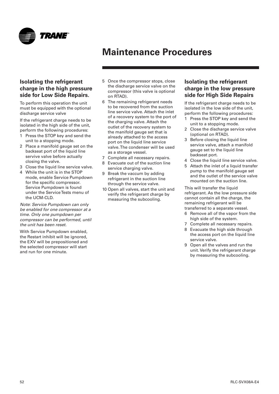<span id="page-51-0"></span>

## **Isolating the refrigerant charge in the high pressure side for Low Side Repairs.**

To perform this operation the unit must be equipped with the optional discharge service valve

If the refrigerant charge needs to be isolated in the high side of the unit, perform the following procedures:

- 1 Press the STOP key and send the unit to a stopping mode.
- 2 Place a manifold gauge set on the backseat port of the liquid line servive valve before actually closing the valve.
- 3 Close the liquid line service valve.
- 4 While the unit is in the STOP mode, enable Service Pumpdown for the specific compressor. Service Pumpdown is found under the Service Tests menu of the UCM-CLD.

Note: Service Pumpdown can only be enabled for one compressor at a time. Only one pumpdown per compressor can be performed, until the unit has been reset.

With Service Pumpdown enabled, the Restart inhibit will be ignored, the EXV will be prepositioned and the selected compressor will start and run for one minute.

- 5 Once the compressor stops, close the discharge service valve on the compressor (this valve is optional on RTAD).
- 6 The remaining refrigerant needs to be recovered from the suction line service valve. Attach the inlet of a recovery system to the port of the charging valve. Attach the outlet of the recovery system to the manifold gauge set that is already attached to the access port on the liquid line service valve. The condenser will be used as a storage vessel.
- 7 Complete all necessary repairs.
- Evacuate out of the suction line service charging valve.
- 9 Break the vaccum by adding refrigerant in the suction line through the service valve.
- 10 Open all valves, start the unit and verify the refrigerant charge by measuring the subcooling.

## **Isolating the refrigerant charge in the low pressure side for High Side Repairs**

If the refrigerant charge needs to be isolated in the low side of the unit, perform the following procedures:

- 1 Press the STOP key and send the unit to a stopping mode.
- 2 Close the discharge service valve (optional on RTAD).
- 3 Before closing the liquid line service valve, attach a manifold gauge set to the liquid line backseat port.
- 4 Close the liquid line service valve.
- 5 Attach the inlet of a liquid transfer pump to the manifold gauge set and the outlet of the service valve mounted on the suction line.

This will transfer the liquid refrigerant. As the low pressure side cannot contain all the charge, the remaining refrigerant will be transferred to a separate vessel.

- 6 Remove all of the vapor from the high side of the system.
- 7 Complete all necessary repairs.
- 8 Evacuate the high side through the access port on the liquid line service valve.
- 9 Open all the valves and run the unit. Verify the refrigerant charge by measuring the subcooling.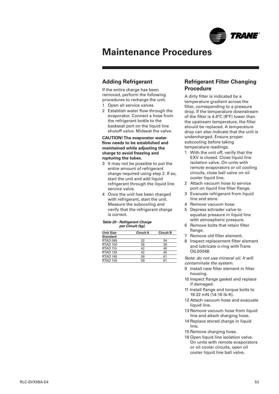

## <span id="page-52-0"></span>**Adding Refrigerant**

If the entire charge has been removed, perform the following procedures to recharge the unit.

- 1 Open all service valves
- 2 Establish water flow through the evaporator. Connect a hose from the refrigerant bottle to the backseat port on the liquid line shutoff valve. Midseat the valve.

**CAUTION! The evaporator water flow needs to be established and maintained while adjusting the charge to avoid freezing and rupturing the tubes.**

- 3 It may not be possible to put the entire amount of refrigerant charge required using step 2. If so, start the unit and add liquid refrigerant through the liquid line service valve.
- 4 Once the unit has been charged with refrigerant, start the unit. Measure the subcooling and verify that the refrigerant charge is correct.

#### **Table 20 - Refrigerant Charge per Circuit (kg).**

| <b>Unit Size</b>    | <b>Circuit A</b> | <b>Circuit B</b> |
|---------------------|------------------|------------------|
| <b>Standard</b>     |                  |                  |
| <b>RTAD 085</b>     | 32               | 34               |
| RTAD 100            | 35               | 36               |
| <b>RTAD 115</b>     | 42               | 45               |
| <b>RTAD 125</b>     | 42               | 45               |
| RTAD <sub>145</sub> | 59               | 61               |
| <b>RTAD 150</b>     | 59               | 61               |

### **Refrigerant Filter Changing Procedure**

A dirty filter is indicated by a temperature gradient across the filter, corresponding to a pressure drop. If the temperature downstream of the filter is 4.4°C (8°F) lower than the upstream temperature, the filter should be replaced. A temperature drop can also indicate that the unit is undercharged. Ensure proper subcooling before taking temperature readings.

- 1 With the unit off, verify that the EXV is closed. Close liquid line isolation valve. On units with remote evaporators or oil cooling circuits, close ball valve on oil cooler liquid line.
- 2 Attach vacuum hose to service port on liquid line filter flange.
- 3 Evacuate refrigerant from liquid line and store.
- 4 Remove vacuum hose.
- 5 Depress schrader valve to equalize pressure in liquid line with atmospheric pressure.
- 6 Remove bolts that retain filter flange.
- 7 Remove old filter element.
- 8 Inspect replacement filter element and lubricate o-ring with Trane OIL00048.

Note: do not use mineral oil. It will contaminate the system.

- 9 Install new filter element in filter housing.
- 10 Inspect flange gasket and replace if damaged.
- 11 Install flange and torque bolts to 19-22 mN (14-16 lb-ft).
- 12 Attach vacuum hose and evacuate liquid line.
- 13 Remove vacuum hose from liquid line and attach charging hose.
- 14 Replace stored charge in liquid line.
- 15 Remove charging hose.
- 16 Open liquid line isolation valve. On units with remote evaporators or oil cooler circuits, open oil cooler liquid line ball valve.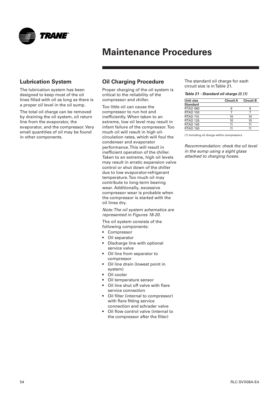<span id="page-53-0"></span>

### **Lubrication System**

The lubrication system has been designed to keep most of the oil lines filled with oil as long as there is a proper oil level in the oil sump.

The total oil charge can be removed by draining the oil system, oil return line from the evaporator, the evaporator, and the compressor. Very small quantities of oil may be found in other components.

## **Oil Charging Procedure**

Proper charging of the oil system is critical to the reliability of the compressor and chiller.

Too little oil can cause the compressor to run hot and inefficiently. When taken to an extreme, low oil level may result in infant failure of the compressor. Too much oil will result in high oilcirculation rates, which will foul the condenser and evaporator performance. This will result in inefficient operation of the chiller. Taken to an extreme, high oil levels may result in erratic expansion valve control or shut down of the chiller due to low evaporator-refrigerant temperature. Too much oil may contribute to long-term bearing wear. Additionally, excessive compressor wear is probable when the compressor is started with the oil lines dry.

Note: The oil system schematics are represented in Figures 18-20.

The oil system consists of the following components:

- Compressor
- Oil separator
- Discharge line with optional service valve
- Oil line from separator to compressor
- Oil line drain (lowest point in system)
- Oil cooler
- Oil temperature sensor
- Oil line shut off valve with flare service connection
- Oil filter (internal to compressor) with flare fitting service connection and schrader valve
- Oil flow control valve (internal to the compressor after the filter)

The standard oil charge for each circuit size is in Table 21.

#### **Table 21 - Standard oil charge (l) (1)**

| Unit size           | <b>Circuit A</b> | <b>Circuit B</b> |  |
|---------------------|------------------|------------------|--|
| <b>Standard</b>     |                  |                  |  |
| <b>RTAD 085</b>     | 6                | 6                |  |
| <b>RTAD 100</b>     |                  |                  |  |
| <b>RTAD 115</b>     | 10               | 10               |  |
| RTAD <sub>125</sub> | 10               | 10               |  |
| RTAD 145            | 11               | 11               |  |
| <b>RTAD 150</b>     | 11               | 11               |  |

(1) Including oil charge within compressors.

Recommendation: check the oil level in the sump using a sight glass attached to charging hoses.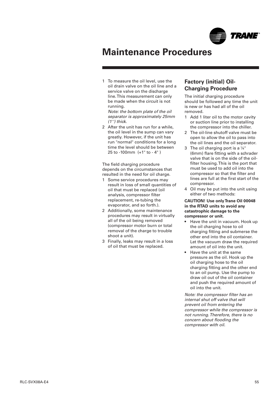

<span id="page-54-0"></span>1 To measure the oil level, use the oil drain valve on the oil line and a service valve on the discharge line. This measurement can only be made when the circuit is not running.

Note: the bottom plate of the oil separator is approximately 25mm (1'') thick.

2 After the unit has run for a while, the oil level in the sump can vary greatly. However, if the unit has run "normal" conditions for a long time the level should be between 25 to -100mm (+1" to - 4" )

The field charging procedure depends on the circumstances that resulted in the need for oil charge.

- 1 Some service procedures may result in loss of small quantities of oil that must be replaced (oil analysis, compressor filter replacement, re-tubing the evaporator, and so forth.).
- 2 Additionally, some maintenance procedures may result in virtually all of the oil being removed (compressor motor burn or total removal of the charge to trouble shoot a unit).
- 3 Finally, leaks may result in a loss of oil that must be replaced.

### **Factory (initial) Oil-Charging Procedure**

The initial charging procedure should be followed any time the unit is new or has had all of the oil removed.

- 1 Add 1 liter oil to the motor cavity or suction line prior to installing the compressor into the chiller.
- 2 The oil-line shutoff valve must be open to allow the oil to pass into the oil lines and the oil separator.
- 3 The oil charging port is a  $\frac{1}{4}$ " (6mm) flare fitting with a schrader valve that is on the side of the oilfilter housing. This is the port that must be used to add oil into the compressor so that the filter and lines are full at the first start of the compressor.
- 4 Oil may be put into the unit using either of two methods:

#### **CAUTION! Use only Trane Oil 00048 in the RTAD units to avoid any catastrophic damage to the compressor or unit.**

- Have the unit in vacuum. Hook up the oil charging hose to oil charging fitting and submerse the other end into the oil container. Let the vacuum draw the required amount of oil into the unit.
- Have the unit at the same pressure as the oil. Hook up the oil charging hose to the oil charging fitting and the other end to an oil pump. Use the pump to draw oil out of the oil container and push the required amount of oil into the unit.

Note: the compressor filter has an internal shut off valve that will prevent oil from entering the compressor while the compressor is not running. Therefore, there is no concern about flooding the compressor with oil.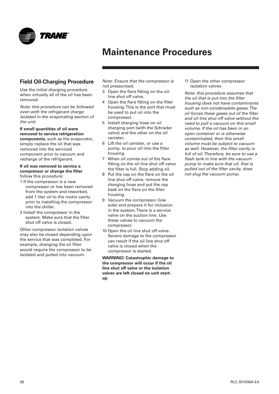<span id="page-55-0"></span>

## **Field Oil-Charging Procedure**

Use the initial charging procedure when virtually all of the oil has been removed.

Note: this procedure can be followed even with the refrigerant charge isolated in the evaporating section of the unit.

**If small quantities of oil were removed to service refrigeration components,** such as the evaporator, simply replace the oil that was removed into the serviced component prior to vacuum and recharge of the refrigerant.

#### **If oil was removed to service a compressor or change the filter** follow this procedure:

- 1 If the compressor is a new compressor or has been removed from the system and reworked, add 1 liter oil to the motor cavity prior to installing the compressor into the chiller.
- 2 Install the compressor in the system. Make sure that the filter shut off valve is closed.

Other compressor isolation valves may also be closed depending upon the service that was completed. For example, changing the oil filter would require the compressor to be isolated and pulled into vacuum.

Note: Ensure that the compressor is not pressurized.

- 3 Open the flare fitting on the oilline shut off valve.
- 4 Open the flare fitting on the filter housing. This is the port that must be used to put oil into the compressor.
- 5 Install charging hose on oil charging port (with the Schrader valve) and the other on the oil canister.
- 6 Lift the oil canister, or use a pump, to pour oil into the filter housing.
- 7 When oil comes out of the flare fitting on the oil line shut off valve the filter is full. Stop adding oil.
- 8 Put the cap on the flare on the oil line shut off valve, remove the charging hose and put the cap back on the flare on the filter housing.
- 9 Vacuum the compressor (low side) and prepare it for inclusion in the system. There is a service valve on the suction line. Use these valves to vacuum the compressor.
- 10 Open the oil line shut off valve. Severe damage to the compressor can result if the oil line shut off valve is closed when the compressor is started.

**WARNING! Catastrophic damage to the compressor will occur if the oil line shut off valve or the isolation valves are left closed on unit startup.**

11 Open the other compressor isolation valves.

Note: this procedure assumes that the oil that is put into the filter housing does not have contaminants such as non-condensable gases. The oil forces these gases out of the filter and oil line shut off valve without the need to pull a vacuum on this small volume. If the oil has been in an open container or is otherwise contaminated, then this small volume must be subject to vacuum as well. However, the filter cavity is full of oil. Therefore, be sure to use a flash tank in line with the vacuum pump to make sure that oil, that is pulled out of the filter cavity, does not slug the vacuum pump.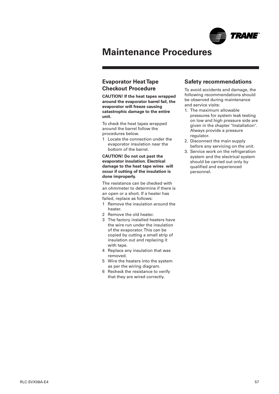

### <span id="page-56-0"></span>**Evaporator Heat Tape Checkout Procedure**

**CAUTION! If the heat tapes wrapped around the evaporator barrel fail, the evaporator will freeze causing catastrophic damage to the entire unit.**

To check the heat tapes wrapped around the barrel follow the procedures below.

1 Locate the connection under the evaporator insulation near the bottom of the barrel.

**CAUTION! Do not cut past the evaporator insulation. Electrical damage to the heat tape wires will occur if cutting of the insulation is done improperly.**

The resistance can be checked with an ohmmeter to determine if there is an open or a short. If a heater has failed, replace as follows:

- 1 Remove the insulation around the heater.
- 2 Remove the old heater.
- 3 The factory installed heaters have the wire run under the insulation of the evaporator. This can be copied by cutting a small strip of insulation out and replacing it with tape.
- 4 Replace any insulation that was removed.
- 5 Wire the heaters into the system as per the wiring diagram.
- 6 Recheck the resistance to verify that they are wired correctly.

### **Safety recommendations**

To avoid accidents and damage, the following recommendations should be observed during maintenance and service visits:

- 1. The maximum allowable pressures for system leak testing on low and high pressure side are given in the chapter "Installation". Always provide a pressure regulator.
- 2. Disconnect the main supply before any servicing on the unit.
- 3. Service work on the refrigeration system and the electrical system should be carried out only by qualified and experienced personnel.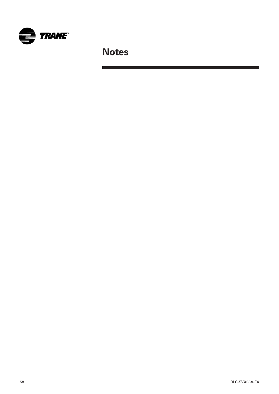

**Notes**

an sa bagaim

 $\mathcal{L}^{\mathcal{L}}$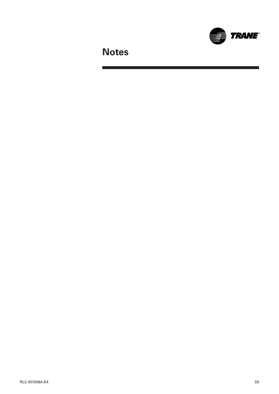

**Notes**